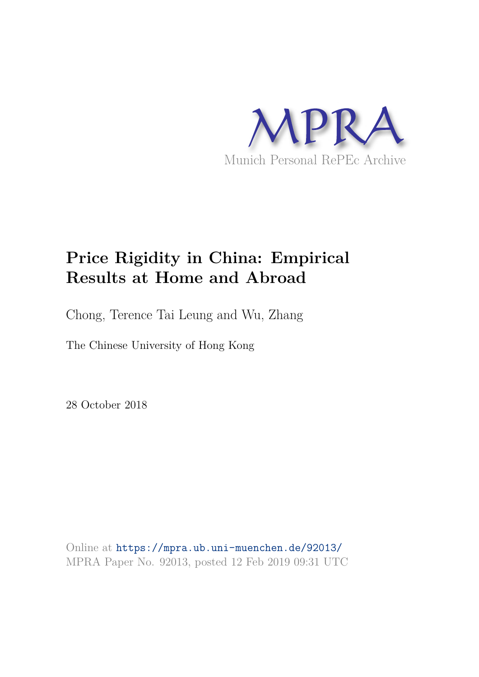

# **Price Rigidity in China: Empirical Results at Home and Abroad**

Chong, Terence Tai Leung and Wu, Zhang

The Chinese University of Hong Kong

28 October 2018

Online at https://mpra.ub.uni-muenchen.de/92013/ MPRA Paper No. 92013, posted 12 Feb 2019 09:31 UTC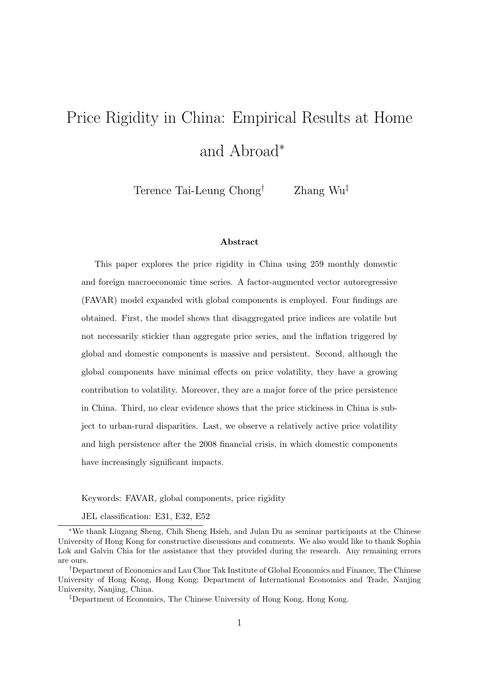# Price Rigidity in China: Empirical Results at Home and Abroad<sup>∗</sup>

Terence Tai-Leung Chong† Zhang Wu‡

#### Abstract

This paper explores the price rigidity in China using 259 monthly domestic and foreign macroeconomic time series. A factor-augmented vector autoregressive (FAVAR) model expanded with global components is employed. Four findings are obtained. First, the model shows that disaggregated price indices are volatile but not necessarily stickier than aggregate price series, and the inflation triggered by global and domestic components is massive and persistent. Second, although the global components have minimal effects on price volatility, they have a growing contribution to volatility. Moreover, they are a major force of the price persistence in China. Third, no clear evidence shows that the price stickiness in China is subject to urban-rural disparities. Last, we observe a relatively active price volatility and high persistence after the 2008 financial crisis, in which domestic components have increasingly significant impacts.

Keywords: FAVAR, global components, price rigidity

JEL classification: E31, E32, E52

<sup>∗</sup>We thank Liugang Sheng, Chih Sheng Hsieh, and Julan Du as seminar participants at the Chinese University of Hong Kong for constructive discussions and comments. We also would like to thank Sophia Lok and Galvin Chia for the assistance that they provided during the research. Any remaining errors are ours.

<sup>†</sup>Department of Economics and Lau Chor Tak Institute of Global Economics and Finance, The Chinese University of Hong Kong, Hong Kong; Department of International Economics and Trade, Nanjing University, Nanjing, China.

<sup>‡</sup>Department of Economics, The Chinese University of Hong Kong, Hong Kong.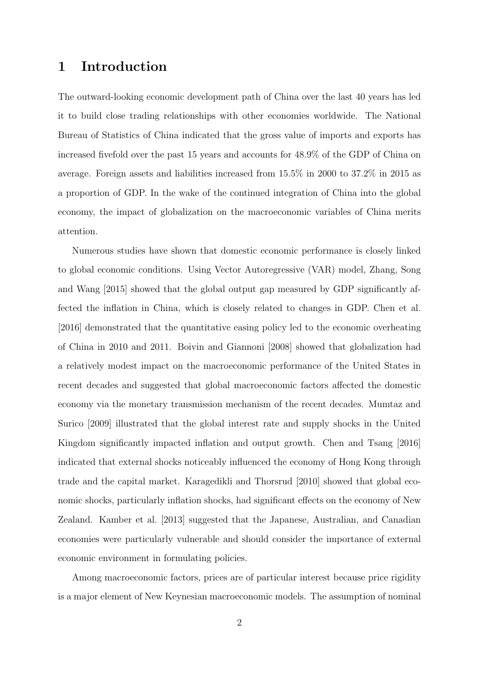### 1 Introduction

The outward-looking economic development path of China over the last 40 years has led it to build close trading relationships with other economies worldwide. The National Bureau of Statistics of China indicated that the gross value of imports and exports has increased fivefold over the past 15 years and accounts for 48.9% of the GDP of China on average. Foreign assets and liabilities increased from 15.5% in 2000 to 37.2% in 2015 as a proportion of GDP. In the wake of the continued integration of China into the global economy, the impact of globalization on the macroeconomic variables of China merits attention.

Numerous studies have shown that domestic economic performance is closely linked to global economic conditions. Using Vector Autoregressive (VAR) model, Zhang, Song and Wang [2015] showed that the global output gap measured by GDP significantly affected the inflation in China, which is closely related to changes in GDP. Chen et al. [2016] demonstrated that the quantitative easing policy led to the economic overheating of China in 2010 and 2011. Boivin and Giannoni [2008] showed that globalization had a relatively modest impact on the macroeconomic performance of the United States in recent decades and suggested that global macroeconomic factors affected the domestic economy via the monetary transmission mechanism of the recent decades. Mumtaz and Surico [2009] illustrated that the global interest rate and supply shocks in the United Kingdom significantly impacted inflation and output growth. Chen and Tsang [2016] indicated that external shocks noticeably influenced the economy of Hong Kong through trade and the capital market. Karagedikli and Thorsrud [2010] showed that global economic shocks, particularly inflation shocks, had significant effects on the economy of New Zealand. Kamber et al. [2013] suggested that the Japanese, Australian, and Canadian economies were particularly vulnerable and should consider the importance of external economic environment in formulating policies.

Among macroeconomic factors, prices are of particular interest because price rigidity is a major element of New Keynesian macroeconomic models. The assumption of nominal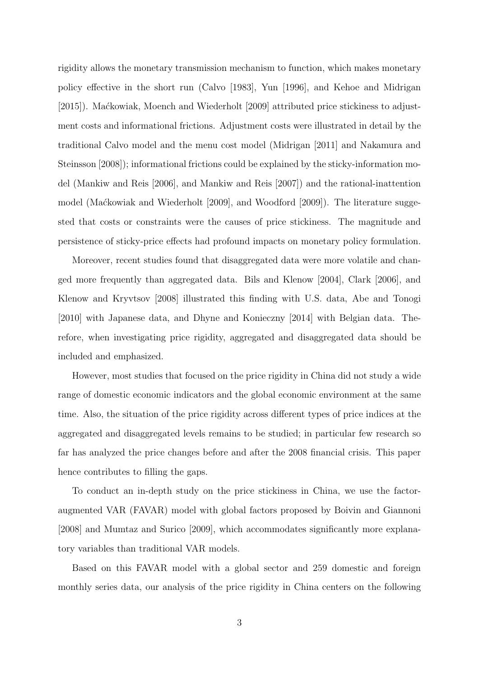rigidity allows the monetary transmission mechanism to function, which makes monetary policy effective in the short run (Calvo [1983], Yun [1996], and Kehoe and Midrigan [2015]). Maćkowiak, Moench and Wiederholt [2009] attributed price stickiness to adjustment costs and informational frictions. Adjustment costs were illustrated in detail by the traditional Calvo model and the menu cost model (Midrigan [2011] and Nakamura and Steinsson [2008]); informational frictions could be explained by the sticky-information model (Mankiw and Reis [2006], and Mankiw and Reis [2007]) and the rational-inattention model (Maćkowiak and Wiederholt [2009], and Woodford [2009]). The literature suggested that costs or constraints were the causes of price stickiness. The magnitude and persistence of sticky-price effects had profound impacts on monetary policy formulation.

Moreover, recent studies found that disaggregated data were more volatile and changed more frequently than aggregated data. Bils and Klenow [2004], Clark [2006], and Klenow and Kryvtsov [2008] illustrated this finding with U.S. data, Abe and Tonogi [2010] with Japanese data, and Dhyne and Konieczny [2014] with Belgian data. Therefore, when investigating price rigidity, aggregated and disaggregated data should be included and emphasized.

However, most studies that focused on the price rigidity in China did not study a wide range of domestic economic indicators and the global economic environment at the same time. Also, the situation of the price rigidity across different types of price indices at the aggregated and disaggregated levels remains to be studied; in particular few research so far has analyzed the price changes before and after the 2008 financial crisis. This paper hence contributes to filling the gaps.

To conduct an in-depth study on the price stickiness in China, we use the factoraugmented VAR (FAVAR) model with global factors proposed by Boivin and Giannoni [2008] and Mumtaz and Surico [2009], which accommodates significantly more explanatory variables than traditional VAR models.

Based on this FAVAR model with a global sector and 259 domestic and foreign monthly series data, our analysis of the price rigidity in China centers on the following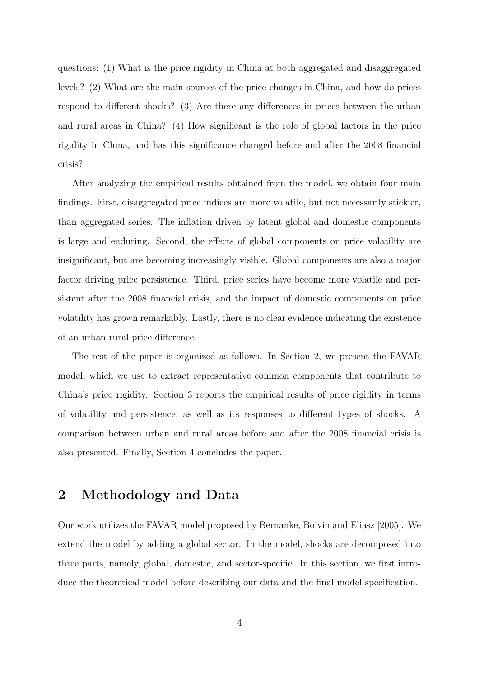questions: (1) What is the price rigidity in China at both aggregated and disaggregated levels? (2) What are the main sources of the price changes in China, and how do prices respond to different shocks? (3) Are there any differences in prices between the urban and rural areas in China? (4) How significant is the role of global factors in the price rigidity in China, and has this significance changed before and after the 2008 financial crisis?

After analyzing the empirical results obtained from the model, we obtain four main findings. First, disaggregated price indices are more volatile, but not necessarily stickier, than aggregated series. The inflation driven by latent global and domestic components is large and enduring. Second, the effects of global components on price volatility are insignificant, but are becoming increasingly visible. Global components are also a major factor driving price persistence. Third, price series have become more volatile and persistent after the 2008 financial crisis, and the impact of domestic components on price volatility has grown remarkably. Lastly, there is no clear evidence indicating the existence of an urban-rural price difference.

The rest of the paper is organized as follows. In Section 2, we present the FAVAR model, which we use to extract representative common components that contribute to China's price rigidity. Section 3 reports the empirical results of price rigidity in terms of volatility and persistence, as well as its responses to different types of shocks. A comparison between urban and rural areas before and after the 2008 financial crisis is also presented. Finally, Section 4 concludes the paper.

## 2 Methodology and Data

Our work utilizes the FAVAR model proposed by Bernanke, Boivin and Eliasz [2005]. We extend the model by adding a global sector. In the model, shocks are decomposed into three parts, namely, global, domestic, and sector-specific. In this section, we first introduce the theoretical model before describing our data and the final model specification.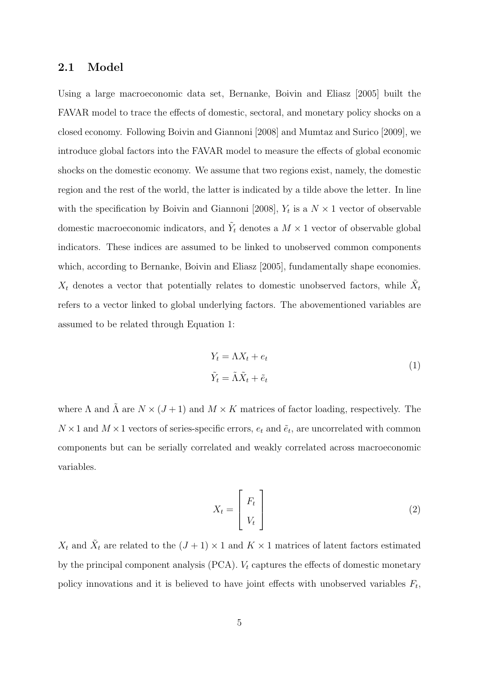#### 2.1 Model

Using a large macroeconomic data set, Bernanke, Boivin and Eliasz [2005] built the FAVAR model to trace the effects of domestic, sectoral, and monetary policy shocks on a closed economy. Following Boivin and Giannoni [2008] and Mumtaz and Surico [2009], we introduce global factors into the FAVAR model to measure the effects of global economic shocks on the domestic economy. We assume that two regions exist, namely, the domestic region and the rest of the world, the latter is indicated by a tilde above the letter. In line with the specification by Boivin and Giannoni [2008],  $Y_t$  is a  $N \times 1$  vector of observable domestic macroeconomic indicators, and  $\tilde{Y}_t$  denotes a  $M \times 1$  vector of observable global indicators. These indices are assumed to be linked to unobserved common components which, according to Bernanke, Boivin and Eliasz [2005], fundamentally shape economies.  $X_t$  denotes a vector that potentially relates to domestic unobserved factors, while  $\tilde{X}_t$ refers to a vector linked to global underlying factors. The abovementioned variables are assumed to be related through Equation 1:

$$
Y_t = \Lambda X_t + e_t
$$
  
\n
$$
\tilde{Y}_t = \tilde{\Lambda} \tilde{X}_t + \tilde{e}_t
$$
\n(1)

where  $\Lambda$  and  $\tilde{\Lambda}$  are  $N \times (J + 1)$  and  $M \times K$  matrices of factor loading, respectively. The  $N \times 1$  and  $M \times 1$  vectors of series-specific errors,  $e_t$  and  $\tilde{e}_t$ , are uncorrelated with common components but can be serially correlated and weakly correlated across macroeconomic variables.

$$
X_t = \begin{bmatrix} F_t \\ V_t \end{bmatrix} \tag{2}
$$

 $X_t$  and  $\tilde{X}_t$  are related to the  $(J+1) \times 1$  and  $K \times 1$  matrices of latent factors estimated by the principal component analysis (PCA).  $V_t$  captures the effects of domestic monetary policy innovations and it is believed to have joint effects with unobserved variables  $F_t$ ,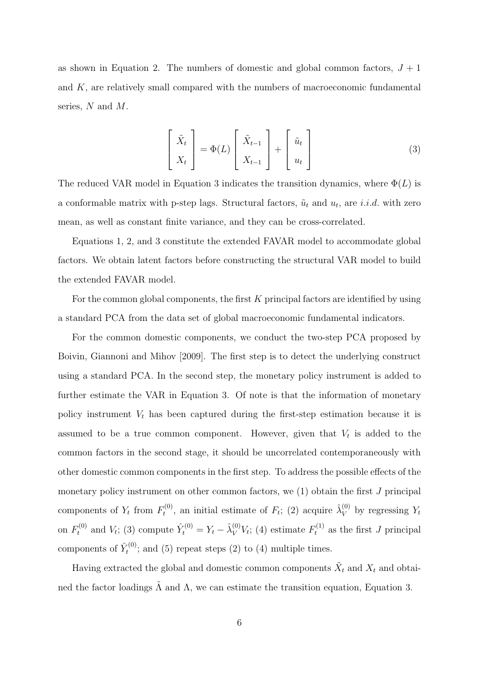as shown in Equation 2. The numbers of domestic and global common factors,  $J + 1$ and K, are relatively small compared with the numbers of macroeconomic fundamental series, N and M.

$$
\begin{bmatrix} \tilde{X}_t \\ X_t \end{bmatrix} = \Phi(L) \begin{bmatrix} \tilde{X}_{t-1} \\ X_{t-1} \end{bmatrix} + \begin{bmatrix} \tilde{u}_t \\ u_t \end{bmatrix}
$$
 (3)

The reduced VAR model in Equation 3 indicates the transition dynamics, where  $\Phi(L)$  is a conformable matrix with p-step lags. Structural factors,  $\tilde{u}_t$  and  $u_t$ , are *i.i.d.* with zero mean, as well as constant finite variance, and they can be cross-correlated.

Equations 1, 2, and 3 constitute the extended FAVAR model to accommodate global factors. We obtain latent factors before constructing the structural VAR model to build the extended FAVAR model.

For the common global components, the first  $K$  principal factors are identified by using a standard PCA from the data set of global macroeconomic fundamental indicators.

For the common domestic components, we conduct the two-step PCA proposed by Boivin, Giannoni and Mihov [2009]. The first step is to detect the underlying construct using a standard PCA. In the second step, the monetary policy instrument is added to further estimate the VAR in Equation 3. Of note is that the information of monetary policy instrument  $V_t$  has been captured during the first-step estimation because it is assumed to be a true common component. However, given that  $V_t$  is added to the common factors in the second stage, it should be uncorrelated contemporaneously with other domestic common components in the first step. To address the possible effects of the monetary policy instrument on other common factors, we (1) obtain the first J principal components of  $Y_t$  from  $F_t^{(0)}$ <sup> $\tau_t^{(0)}$ </sup>, an initial estimate of  $F_t$ ; (2) acquire  $\hat{\lambda}_V^{(0)}$  by regressing  $Y_t$ on  $F_t^{(0)}$  and  $V_t$ ; (3) compute  $\hat{Y}_t^{(0)} = Y_t - \hat{\lambda}_V^{(0)} V_t$ ; (4) estimate  $F_t^{(1)}$  as the first J principal components of  $\hat{Y}_t^{(0)}$  $t^{(0)}$ ; and (5) repeat steps (2) to (4) multiple times.

Having extracted the global and domestic common components  $\tilde{X}_t$  and  $X_t$  and obtained the factor loadings  $\tilde{\Lambda}$  and  $\Lambda$ , we can estimate the transition equation, Equation 3.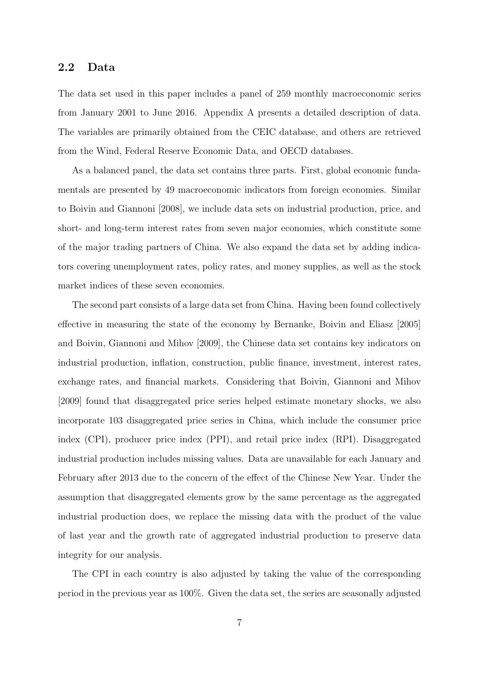#### 2.2 Data

The data set used in this paper includes a panel of 259 monthly macroeconomic series from January 2001 to June 2016. Appendix A presents a detailed description of data. The variables are primarily obtained from the CEIC database, and others are retrieved from the Wind, Federal Reserve Economic Data, and OECD databases.

As a balanced panel, the data set contains three parts. First, global economic fundamentals are presented by 49 macroeconomic indicators from foreign economies. Similar to Boivin and Giannoni [2008], we include data sets on industrial production, price, and short- and long-term interest rates from seven major economies, which constitute some of the major trading partners of China. We also expand the data set by adding indicators covering unemployment rates, policy rates, and money supplies, as well as the stock market indices of these seven economies.

The second part consists of a large data set from China. Having been found collectively effective in measuring the state of the economy by Bernanke, Boivin and Eliasz [2005] and Boivin, Giannoni and Mihov [2009], the Chinese data set contains key indicators on industrial production, inflation, construction, public finance, investment, interest rates, exchange rates, and financial markets. Considering that Boivin, Giannoni and Mihov [2009] found that disaggregated price series helped estimate monetary shocks, we also incorporate 103 disaggregated price series in China, which include the consumer price index (CPI), producer price index (PPI), and retail price index (RPI). Disaggregated industrial production includes missing values. Data are unavailable for each January and February after 2013 due to the concern of the effect of the Chinese New Year. Under the assumption that disaggregated elements grow by the same percentage as the aggregated industrial production does, we replace the missing data with the product of the value of last year and the growth rate of aggregated industrial production to preserve data integrity for our analysis.

The CPI in each country is also adjusted by taking the value of the corresponding period in the previous year as 100%. Given the data set, the series are seasonally adjusted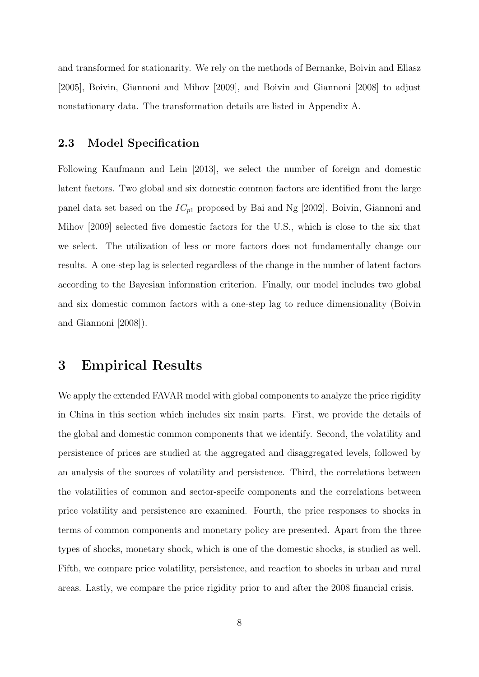and transformed for stationarity. We rely on the methods of Bernanke, Boivin and Eliasz [2005], Boivin, Giannoni and Mihov [2009], and Boivin and Giannoni [2008] to adjust nonstationary data. The transformation details are listed in Appendix A.

#### 2.3 Model Specification

Following Kaufmann and Lein [2013], we select the number of foreign and domestic latent factors. Two global and six domestic common factors are identified from the large panel data set based on the  $IC_{p1}$  proposed by Bai and Ng [2002]. Boivin, Giannoni and Mihov [2009] selected five domestic factors for the U.S., which is close to the six that we select. The utilization of less or more factors does not fundamentally change our results. A one-step lag is selected regardless of the change in the number of latent factors according to the Bayesian information criterion. Finally, our model includes two global and six domestic common factors with a one-step lag to reduce dimensionality (Boivin and Giannoni [2008]).

### 3 Empirical Results

We apply the extended FAVAR model with global components to analyze the price rigidity in China in this section which includes six main parts. First, we provide the details of the global and domestic common components that we identify. Second, the volatility and persistence of prices are studied at the aggregated and disaggregated levels, followed by an analysis of the sources of volatility and persistence. Third, the correlations between the volatilities of common and sector-specifc components and the correlations between price volatility and persistence are examined. Fourth, the price responses to shocks in terms of common components and monetary policy are presented. Apart from the three types of shocks, monetary shock, which is one of the domestic shocks, is studied as well. Fifth, we compare price volatility, persistence, and reaction to shocks in urban and rural areas. Lastly, we compare the price rigidity prior to and after the 2008 financial crisis.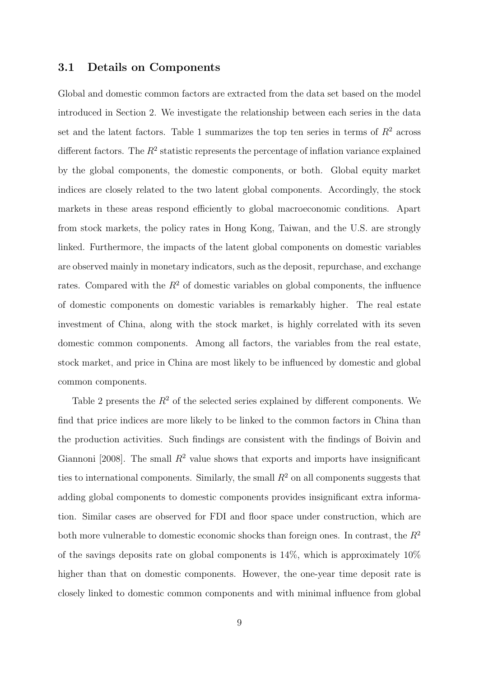#### 3.1 Details on Components

Global and domestic common factors are extracted from the data set based on the model introduced in Section 2. We investigate the relationship between each series in the data set and the latent factors. Table 1 summarizes the top ten series in terms of  $R<sup>2</sup>$  across different factors. The  $R^2$  statistic represents the percentage of inflation variance explained by the global components, the domestic components, or both. Global equity market indices are closely related to the two latent global components. Accordingly, the stock markets in these areas respond efficiently to global macroeconomic conditions. Apart from stock markets, the policy rates in Hong Kong, Taiwan, and the U.S. are strongly linked. Furthermore, the impacts of the latent global components on domestic variables are observed mainly in monetary indicators, such as the deposit, repurchase, and exchange rates. Compared with the  $R^2$  of domestic variables on global components, the influence of domestic components on domestic variables is remarkably higher. The real estate investment of China, along with the stock market, is highly correlated with its seven domestic common components. Among all factors, the variables from the real estate, stock market, and price in China are most likely to be influenced by domestic and global common components.

Table 2 presents the  $R^2$  of the selected series explained by different components. We find that price indices are more likely to be linked to the common factors in China than the production activities. Such findings are consistent with the findings of Boivin and Giannoni [2008]. The small  $R^2$  value shows that exports and imports have insignificant ties to international components. Similarly, the small  $R<sup>2</sup>$  on all components suggests that adding global components to domestic components provides insignificant extra information. Similar cases are observed for FDI and floor space under construction, which are both more vulnerable to domestic economic shocks than foreign ones. In contrast, the  $R^2$ of the savings deposits rate on global components is 14%, which is approximately 10% higher than that on domestic components. However, the one-year time deposit rate is closely linked to domestic common components and with minimal influence from global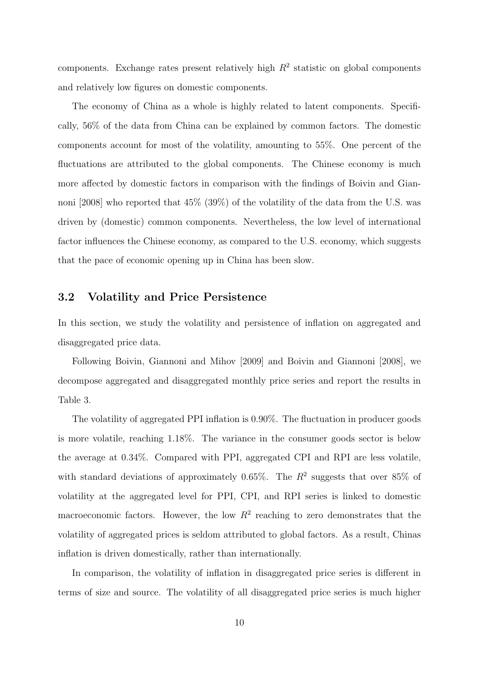components. Exchange rates present relatively high  $R^2$  statistic on global components and relatively low figures on domestic components.

The economy of China as a whole is highly related to latent components. Specifically, 56% of the data from China can be explained by common factors. The domestic components account for most of the volatility, amounting to 55%. One percent of the fluctuations are attributed to the global components. The Chinese economy is much more affected by domestic factors in comparison with the findings of Boivin and Giannoni [2008] who reported that 45% (39%) of the volatility of the data from the U.S. was driven by (domestic) common components. Nevertheless, the low level of international factor influences the Chinese economy, as compared to the U.S. economy, which suggests that the pace of economic opening up in China has been slow.

#### 3.2 Volatility and Price Persistence

In this section, we study the volatility and persistence of inflation on aggregated and disaggregated price data.

Following Boivin, Giannoni and Mihov [2009] and Boivin and Giannoni [2008], we decompose aggregated and disaggregated monthly price series and report the results in Table 3.

The volatility of aggregated PPI inflation is 0.90%. The fluctuation in producer goods is more volatile, reaching 1.18%. The variance in the consumer goods sector is below the average at 0.34%. Compared with PPI, aggregated CPI and RPI are less volatile, with standard deviations of approximately 0.65%. The  $R^2$  suggests that over 85% of volatility at the aggregated level for PPI, CPI, and RPI series is linked to domestic macroeconomic factors. However, the low  $R^2$  reaching to zero demonstrates that the volatility of aggregated prices is seldom attributed to global factors. As a result, Chinas inflation is driven domestically, rather than internationally.

In comparison, the volatility of inflation in disaggregated price series is different in terms of size and source. The volatility of all disaggregated price series is much higher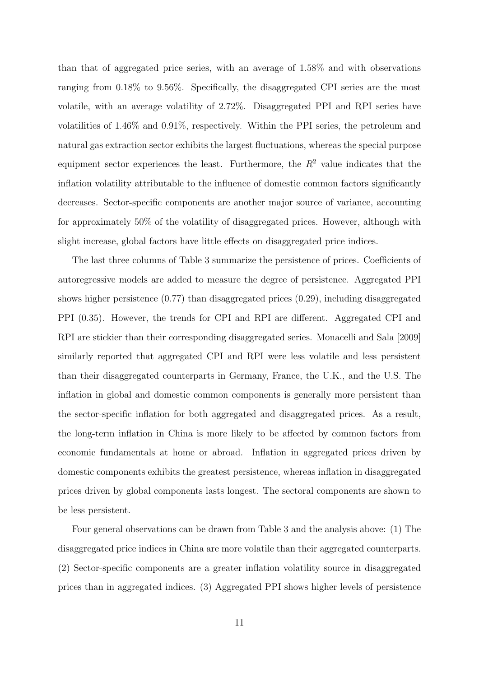than that of aggregated price series, with an average of 1.58% and with observations ranging from 0.18% to 9.56%. Specifically, the disaggregated CPI series are the most volatile, with an average volatility of 2.72%. Disaggregated PPI and RPI series have volatilities of 1.46% and 0.91%, respectively. Within the PPI series, the petroleum and natural gas extraction sector exhibits the largest fluctuations, whereas the special purpose equipment sector experiences the least. Furthermore, the  $R^2$  value indicates that the inflation volatility attributable to the influence of domestic common factors significantly decreases. Sector-specific components are another major source of variance, accounting for approximately 50% of the volatility of disaggregated prices. However, although with slight increase, global factors have little effects on disaggregated price indices.

The last three columns of Table 3 summarize the persistence of prices. Coefficients of autoregressive models are added to measure the degree of persistence. Aggregated PPI shows higher persistence  $(0.77)$  than disaggregated prices  $(0.29)$ , including disaggregated PPI (0.35). However, the trends for CPI and RPI are different. Aggregated CPI and RPI are stickier than their corresponding disaggregated series. Monacelli and Sala [2009] similarly reported that aggregated CPI and RPI were less volatile and less persistent than their disaggregated counterparts in Germany, France, the U.K., and the U.S. The inflation in global and domestic common components is generally more persistent than the sector-specific inflation for both aggregated and disaggregated prices. As a result, the long-term inflation in China is more likely to be affected by common factors from economic fundamentals at home or abroad. Inflation in aggregated prices driven by domestic components exhibits the greatest persistence, whereas inflation in disaggregated prices driven by global components lasts longest. The sectoral components are shown to be less persistent.

Four general observations can be drawn from Table 3 and the analysis above: (1) The disaggregated price indices in China are more volatile than their aggregated counterparts. (2) Sector-specific components are a greater inflation volatility source in disaggregated prices than in aggregated indices. (3) Aggregated PPI shows higher levels of persistence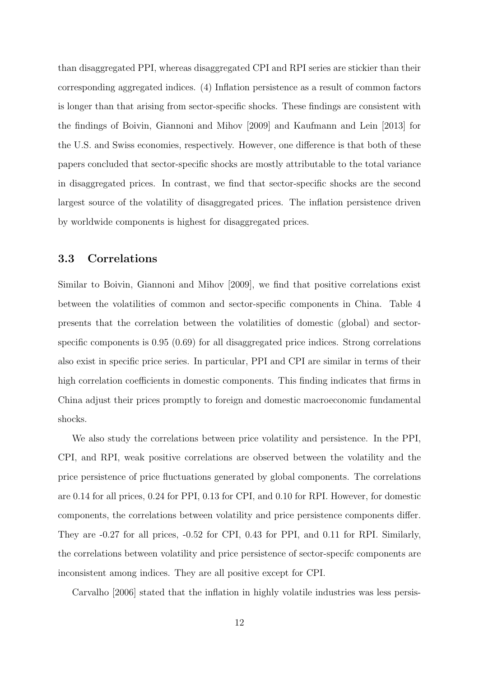than disaggregated PPI, whereas disaggregated CPI and RPI series are stickier than their corresponding aggregated indices. (4) Inflation persistence as a result of common factors is longer than that arising from sector-specific shocks. These findings are consistent with the findings of Boivin, Giannoni and Mihov [2009] and Kaufmann and Lein [2013] for the U.S. and Swiss economies, respectively. However, one difference is that both of these papers concluded that sector-specific shocks are mostly attributable to the total variance in disaggregated prices. In contrast, we find that sector-specific shocks are the second largest source of the volatility of disaggregated prices. The inflation persistence driven by worldwide components is highest for disaggregated prices.

#### 3.3 Correlations

Similar to Boivin, Giannoni and Mihov [2009], we find that positive correlations exist between the volatilities of common and sector-specific components in China. Table 4 presents that the correlation between the volatilities of domestic (global) and sectorspecific components is 0.95 (0.69) for all disaggregated price indices. Strong correlations also exist in specific price series. In particular, PPI and CPI are similar in terms of their high correlation coefficients in domestic components. This finding indicates that firms in China adjust their prices promptly to foreign and domestic macroeconomic fundamental shocks.

We also study the correlations between price volatility and persistence. In the PPI, CPI, and RPI, weak positive correlations are observed between the volatility and the price persistence of price fluctuations generated by global components. The correlations are 0.14 for all prices, 0.24 for PPI, 0.13 for CPI, and 0.10 for RPI. However, for domestic components, the correlations between volatility and price persistence components differ. They are -0.27 for all prices, -0.52 for CPI, 0.43 for PPI, and 0.11 for RPI. Similarly, the correlations between volatility and price persistence of sector-specifc components are inconsistent among indices. They are all positive except for CPI.

Carvalho [2006] stated that the inflation in highly volatile industries was less persis-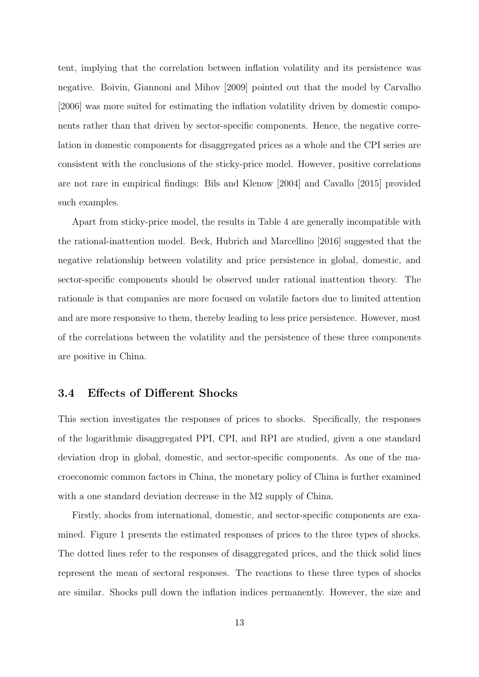tent, implying that the correlation between inflation volatility and its persistence was negative. Boivin, Giannoni and Mihov [2009] pointed out that the model by Carvalho [2006] was more suited for estimating the inflation volatility driven by domestic components rather than that driven by sector-specific components. Hence, the negative correlation in domestic components for disaggregated prices as a whole and the CPI series are consistent with the conclusions of the sticky-price model. However, positive correlations are not rare in empirical findings: Bils and Klenow [2004] and Cavallo [2015] provided such examples.

Apart from sticky-price model, the results in Table 4 are generally incompatible with the rational-inattention model. Beck, Hubrich and Marcellino [2016] suggested that the negative relationship between volatility and price persistence in global, domestic, and sector-specific components should be observed under rational inattention theory. The rationale is that companies are more focused on volatile factors due to limited attention and are more responsive to them, thereby leading to less price persistence. However, most of the correlations between the volatility and the persistence of these three components are positive in China.

#### 3.4 Effects of Different Shocks

This section investigates the responses of prices to shocks. Specifically, the responses of the logarithmic disaggregated PPI, CPI, and RPI are studied, given a one standard deviation drop in global, domestic, and sector-specific components. As one of the macroeconomic common factors in China, the monetary policy of China is further examined with a one standard deviation decrease in the M2 supply of China.

Firstly, shocks from international, domestic, and sector-specific components are examined. Figure 1 presents the estimated responses of prices to the three types of shocks. The dotted lines refer to the responses of disaggregated prices, and the thick solid lines represent the mean of sectoral responses. The reactions to these three types of shocks are similar. Shocks pull down the inflation indices permanently. However, the size and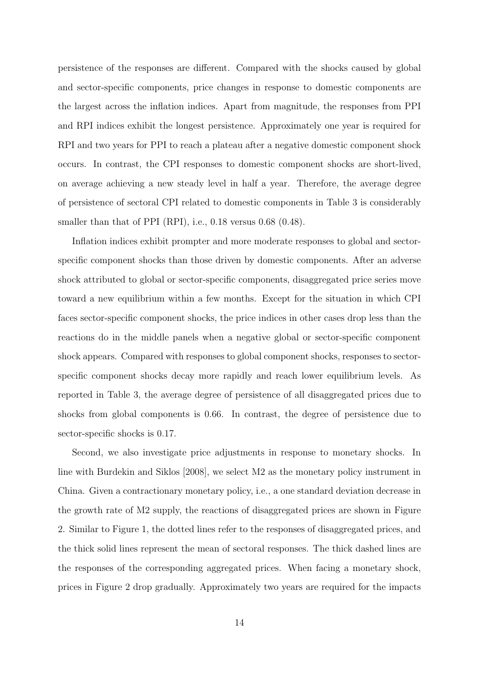persistence of the responses are different. Compared with the shocks caused by global and sector-specific components, price changes in response to domestic components are the largest across the inflation indices. Apart from magnitude, the responses from PPI and RPI indices exhibit the longest persistence. Approximately one year is required for RPI and two years for PPI to reach a plateau after a negative domestic component shock occurs. In contrast, the CPI responses to domestic component shocks are short-lived, on average achieving a new steady level in half a year. Therefore, the average degree of persistence of sectoral CPI related to domestic components in Table 3 is considerably smaller than that of PPI (RPI), i.e., 0.18 versus 0.68 (0.48).

Inflation indices exhibit prompter and more moderate responses to global and sectorspecific component shocks than those driven by domestic components. After an adverse shock attributed to global or sector-specific components, disaggregated price series move toward a new equilibrium within a few months. Except for the situation in which CPI faces sector-specific component shocks, the price indices in other cases drop less than the reactions do in the middle panels when a negative global or sector-specific component shock appears. Compared with responses to global component shocks, responses to sectorspecific component shocks decay more rapidly and reach lower equilibrium levels. As reported in Table 3, the average degree of persistence of all disaggregated prices due to shocks from global components is 0.66. In contrast, the degree of persistence due to sector-specific shocks is 0.17.

Second, we also investigate price adjustments in response to monetary shocks. In line with Burdekin and Siklos [2008], we select M2 as the monetary policy instrument in China. Given a contractionary monetary policy, i.e., a one standard deviation decrease in the growth rate of M2 supply, the reactions of disaggregated prices are shown in Figure 2. Similar to Figure 1, the dotted lines refer to the responses of disaggregated prices, and the thick solid lines represent the mean of sectoral responses. The thick dashed lines are the responses of the corresponding aggregated prices. When facing a monetary shock, prices in Figure 2 drop gradually. Approximately two years are required for the impacts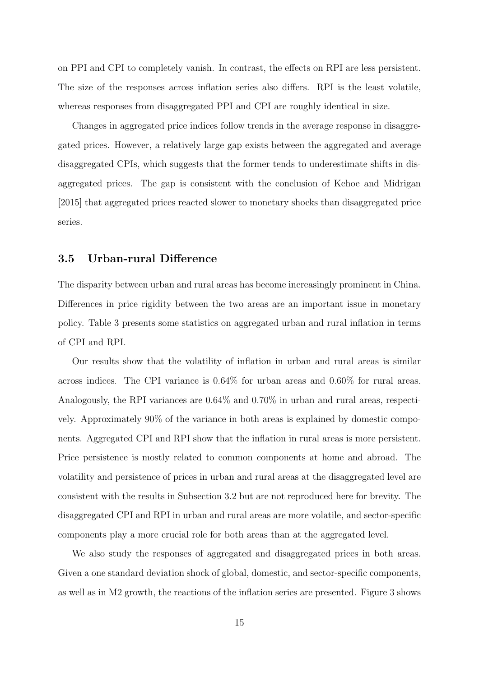on PPI and CPI to completely vanish. In contrast, the effects on RPI are less persistent. The size of the responses across inflation series also differs. RPI is the least volatile, whereas responses from disaggregated PPI and CPI are roughly identical in size.

Changes in aggregated price indices follow trends in the average response in disaggregated prices. However, a relatively large gap exists between the aggregated and average disaggregated CPIs, which suggests that the former tends to underestimate shifts in disaggregated prices. The gap is consistent with the conclusion of Kehoe and Midrigan [2015] that aggregated prices reacted slower to monetary shocks than disaggregated price series.

#### 3.5 Urban-rural Difference

The disparity between urban and rural areas has become increasingly prominent in China. Differences in price rigidity between the two areas are an important issue in monetary policy. Table 3 presents some statistics on aggregated urban and rural inflation in terms of CPI and RPI.

Our results show that the volatility of inflation in urban and rural areas is similar across indices. The CPI variance is 0.64% for urban areas and 0.60% for rural areas. Analogously, the RPI variances are 0.64% and 0.70% in urban and rural areas, respectively. Approximately 90% of the variance in both areas is explained by domestic components. Aggregated CPI and RPI show that the inflation in rural areas is more persistent. Price persistence is mostly related to common components at home and abroad. The volatility and persistence of prices in urban and rural areas at the disaggregated level are consistent with the results in Subsection 3.2 but are not reproduced here for brevity. The disaggregated CPI and RPI in urban and rural areas are more volatile, and sector-specific components play a more crucial role for both areas than at the aggregated level.

We also study the responses of aggregated and disaggregated prices in both areas. Given a one standard deviation shock of global, domestic, and sector-specific components, as well as in M2 growth, the reactions of the inflation series are presented. Figure 3 shows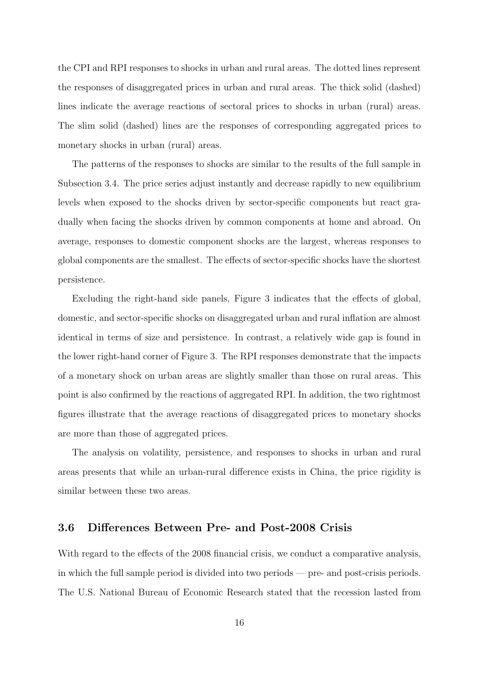the CPI and RPI responses to shocks in urban and rural areas. The dotted lines represent the responses of disaggregated prices in urban and rural areas. The thick solid (dashed) lines indicate the average reactions of sectoral prices to shocks in urban (rural) areas. The slim solid (dashed) lines are the responses of corresponding aggregated prices to monetary shocks in urban (rural) areas.

The patterns of the responses to shocks are similar to the results of the full sample in Subsection 3.4. The price series adjust instantly and decrease rapidly to new equilibrium levels when exposed to the shocks driven by sector-specific components but react gradually when facing the shocks driven by common components at home and abroad. On average, responses to domestic component shocks are the largest, whereas responses to global components are the smallest. The effects of sector-specific shocks have the shortest persistence.

Excluding the right-hand side panels, Figure 3 indicates that the effects of global, domestic, and sector-specific shocks on disaggregated urban and rural inflation are almost identical in terms of size and persistence. In contrast, a relatively wide gap is found in the lower right-hand corner of Figure 3. The RPI responses demonstrate that the impacts of a monetary shock on urban areas are slightly smaller than those on rural areas. This point is also confirmed by the reactions of aggregated RPI. In addition, the two rightmost figures illustrate that the average reactions of disaggregated prices to monetary shocks are more than those of aggregated prices.

The analysis on volatility, persistence, and responses to shocks in urban and rural areas presents that while an urban-rural difference exists in China, the price rigidity is similar between these two areas.

#### 3.6 Differences Between Pre- and Post-2008 Crisis

With regard to the effects of the 2008 financial crisis, we conduct a comparative analysis, in which the full sample period is divided into two periods — pre- and post-crisis periods. The U.S. National Bureau of Economic Research stated that the recession lasted from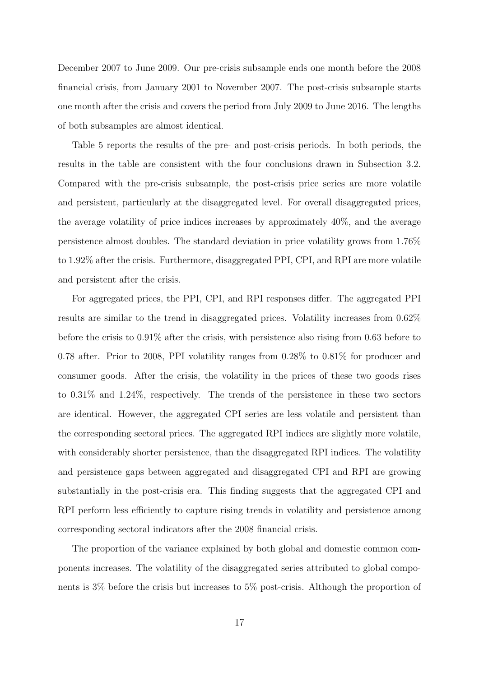December 2007 to June 2009. Our pre-crisis subsample ends one month before the 2008 financial crisis, from January 2001 to November 2007. The post-crisis subsample starts one month after the crisis and covers the period from July 2009 to June 2016. The lengths of both subsamples are almost identical.

Table 5 reports the results of the pre- and post-crisis periods. In both periods, the results in the table are consistent with the four conclusions drawn in Subsection 3.2. Compared with the pre-crisis subsample, the post-crisis price series are more volatile and persistent, particularly at the disaggregated level. For overall disaggregated prices, the average volatility of price indices increases by approximately 40%, and the average persistence almost doubles. The standard deviation in price volatility grows from 1.76% to 1.92% after the crisis. Furthermore, disaggregated PPI, CPI, and RPI are more volatile and persistent after the crisis.

For aggregated prices, the PPI, CPI, and RPI responses differ. The aggregated PPI results are similar to the trend in disaggregated prices. Volatility increases from 0.62% before the crisis to 0.91% after the crisis, with persistence also rising from 0.63 before to 0.78 after. Prior to 2008, PPI volatility ranges from 0.28% to 0.81% for producer and consumer goods. After the crisis, the volatility in the prices of these two goods rises to 0.31% and 1.24%, respectively. The trends of the persistence in these two sectors are identical. However, the aggregated CPI series are less volatile and persistent than the corresponding sectoral prices. The aggregated RPI indices are slightly more volatile, with considerably shorter persistence, than the disaggregated RPI indices. The volatility and persistence gaps between aggregated and disaggregated CPI and RPI are growing substantially in the post-crisis era. This finding suggests that the aggregated CPI and RPI perform less efficiently to capture rising trends in volatility and persistence among corresponding sectoral indicators after the 2008 financial crisis.

The proportion of the variance explained by both global and domestic common components increases. The volatility of the disaggregated series attributed to global components is 3% before the crisis but increases to 5% post-crisis. Although the proportion of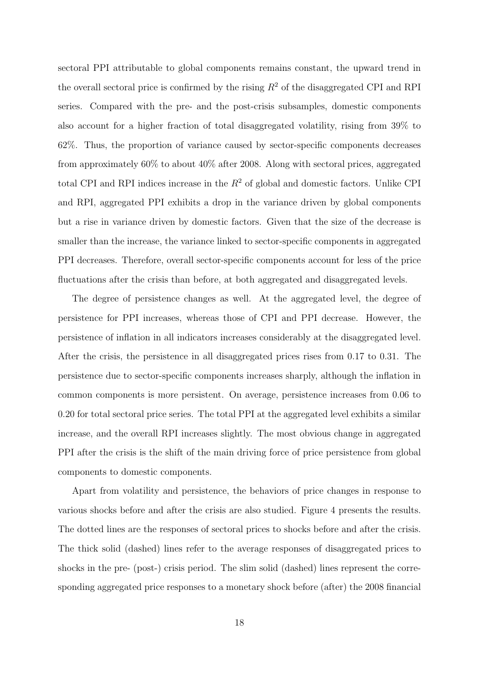sectoral PPI attributable to global components remains constant, the upward trend in the overall sectoral price is confirmed by the rising  $R^2$  of the disaggregated CPI and RPI series. Compared with the pre- and the post-crisis subsamples, domestic components also account for a higher fraction of total disaggregated volatility, rising from 39% to 62%. Thus, the proportion of variance caused by sector-specific components decreases from approximately 60% to about 40% after 2008. Along with sectoral prices, aggregated total CPI and RPI indices increase in the  $R<sup>2</sup>$  of global and domestic factors. Unlike CPI and RPI, aggregated PPI exhibits a drop in the variance driven by global components but a rise in variance driven by domestic factors. Given that the size of the decrease is smaller than the increase, the variance linked to sector-specific components in aggregated PPI decreases. Therefore, overall sector-specific components account for less of the price fluctuations after the crisis than before, at both aggregated and disaggregated levels.

The degree of persistence changes as well. At the aggregated level, the degree of persistence for PPI increases, whereas those of CPI and PPI decrease. However, the persistence of inflation in all indicators increases considerably at the disaggregated level. After the crisis, the persistence in all disaggregated prices rises from 0.17 to 0.31. The persistence due to sector-specific components increases sharply, although the inflation in common components is more persistent. On average, persistence increases from 0.06 to 0.20 for total sectoral price series. The total PPI at the aggregated level exhibits a similar increase, and the overall RPI increases slightly. The most obvious change in aggregated PPI after the crisis is the shift of the main driving force of price persistence from global components to domestic components.

Apart from volatility and persistence, the behaviors of price changes in response to various shocks before and after the crisis are also studied. Figure 4 presents the results. The dotted lines are the responses of sectoral prices to shocks before and after the crisis. The thick solid (dashed) lines refer to the average responses of disaggregated prices to shocks in the pre- (post-) crisis period. The slim solid (dashed) lines represent the corresponding aggregated price responses to a monetary shock before (after) the 2008 financial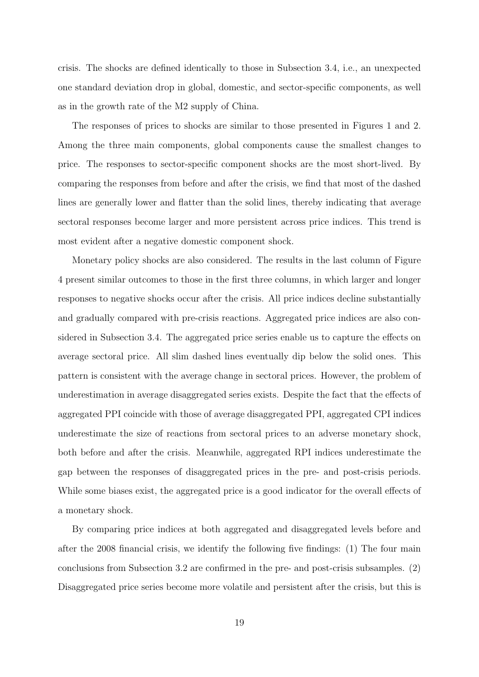crisis. The shocks are defined identically to those in Subsection 3.4, i.e., an unexpected one standard deviation drop in global, domestic, and sector-specific components, as well as in the growth rate of the M2 supply of China.

The responses of prices to shocks are similar to those presented in Figures 1 and 2. Among the three main components, global components cause the smallest changes to price. The responses to sector-specific component shocks are the most short-lived. By comparing the responses from before and after the crisis, we find that most of the dashed lines are generally lower and flatter than the solid lines, thereby indicating that average sectoral responses become larger and more persistent across price indices. This trend is most evident after a negative domestic component shock.

Monetary policy shocks are also considered. The results in the last column of Figure 4 present similar outcomes to those in the first three columns, in which larger and longer responses to negative shocks occur after the crisis. All price indices decline substantially and gradually compared with pre-crisis reactions. Aggregated price indices are also considered in Subsection 3.4. The aggregated price series enable us to capture the effects on average sectoral price. All slim dashed lines eventually dip below the solid ones. This pattern is consistent with the average change in sectoral prices. However, the problem of underestimation in average disaggregated series exists. Despite the fact that the effects of aggregated PPI coincide with those of average disaggregated PPI, aggregated CPI indices underestimate the size of reactions from sectoral prices to an adverse monetary shock, both before and after the crisis. Meanwhile, aggregated RPI indices underestimate the gap between the responses of disaggregated prices in the pre- and post-crisis periods. While some biases exist, the aggregated price is a good indicator for the overall effects of a monetary shock.

By comparing price indices at both aggregated and disaggregated levels before and after the 2008 financial crisis, we identify the following five findings: (1) The four main conclusions from Subsection 3.2 are confirmed in the pre- and post-crisis subsamples. (2) Disaggregated price series become more volatile and persistent after the crisis, but this is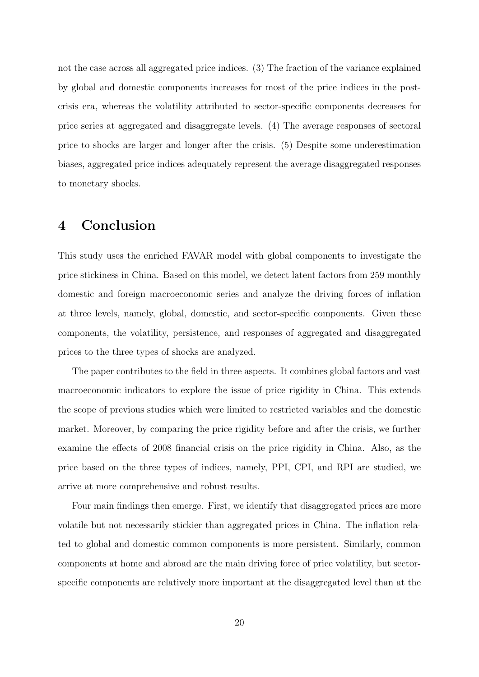not the case across all aggregated price indices. (3) The fraction of the variance explained by global and domestic components increases for most of the price indices in the postcrisis era, whereas the volatility attributed to sector-specific components decreases for price series at aggregated and disaggregate levels. (4) The average responses of sectoral price to shocks are larger and longer after the crisis. (5) Despite some underestimation biases, aggregated price indices adequately represent the average disaggregated responses to monetary shocks.

## 4 Conclusion

This study uses the enriched FAVAR model with global components to investigate the price stickiness in China. Based on this model, we detect latent factors from 259 monthly domestic and foreign macroeconomic series and analyze the driving forces of inflation at three levels, namely, global, domestic, and sector-specific components. Given these components, the volatility, persistence, and responses of aggregated and disaggregated prices to the three types of shocks are analyzed.

The paper contributes to the field in three aspects. It combines global factors and vast macroeconomic indicators to explore the issue of price rigidity in China. This extends the scope of previous studies which were limited to restricted variables and the domestic market. Moreover, by comparing the price rigidity before and after the crisis, we further examine the effects of 2008 financial crisis on the price rigidity in China. Also, as the price based on the three types of indices, namely, PPI, CPI, and RPI are studied, we arrive at more comprehensive and robust results.

Four main findings then emerge. First, we identify that disaggregated prices are more volatile but not necessarily stickier than aggregated prices in China. The inflation related to global and domestic common components is more persistent. Similarly, common components at home and abroad are the main driving force of price volatility, but sectorspecific components are relatively more important at the disaggregated level than at the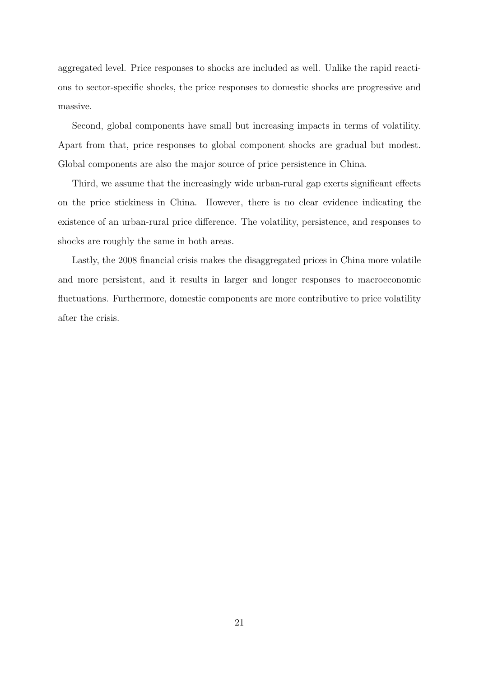aggregated level. Price responses to shocks are included as well. Unlike the rapid reactions to sector-specific shocks, the price responses to domestic shocks are progressive and massive.

Second, global components have small but increasing impacts in terms of volatility. Apart from that, price responses to global component shocks are gradual but modest. Global components are also the major source of price persistence in China.

Third, we assume that the increasingly wide urban-rural gap exerts significant effects on the price stickiness in China. However, there is no clear evidence indicating the existence of an urban-rural price difference. The volatility, persistence, and responses to shocks are roughly the same in both areas.

Lastly, the 2008 financial crisis makes the disaggregated prices in China more volatile and more persistent, and it results in larger and longer responses to macroeconomic fluctuations. Furthermore, domestic components are more contributive to price volatility after the crisis.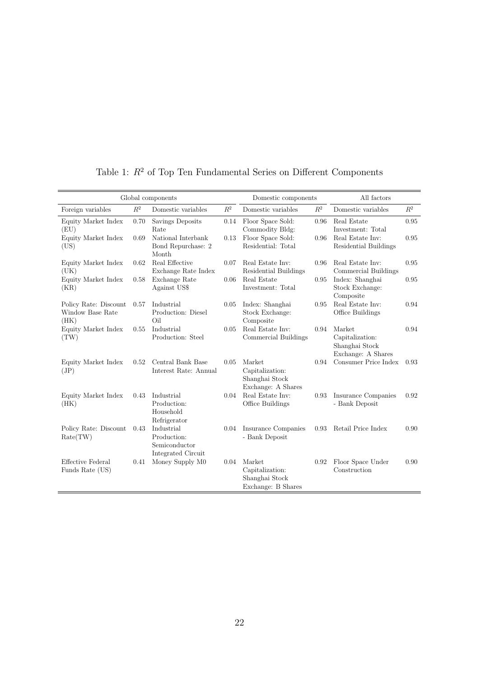|                                                   |                | Global components                                                       |                | Domestic components                                               |       | All factors                                                       |                |
|---------------------------------------------------|----------------|-------------------------------------------------------------------------|----------------|-------------------------------------------------------------------|-------|-------------------------------------------------------------------|----------------|
| Foreign variables                                 | $\mathbb{R}^2$ | Domestic variables                                                      | $\mathbb{R}^2$ | Domestic variables                                                | $R^2$ | Domestic variables                                                | $\mathbb{R}^2$ |
| Equity Market Index<br>(EU)                       | 0.70           | Savings Deposits<br>Rate                                                | 0.14           | Floor Space Sold:<br>Commodity Bldg:                              | 0.96  | Real Estate<br>Investment: Total                                  | 0.95           |
| Equity Market Index<br>(US)                       | 0.69           | National Interbank<br>Bond Repurchase: 2<br>Month                       | 0.13           | Floor Space Sold:<br>Residential: Total                           | 0.96  | Real Estate Inv:<br>Residential Buildings                         | 0.95           |
| Equity Market Index<br>(UK)                       | 0.62           | Real Effective<br>Exchange Rate Index                                   | 0.07           | Real Estate Inv:<br>Residential Buildings                         | 0.96  | Real Estate Inv:<br>Commercial Buildings                          | 0.95           |
| Equity Market Index<br>(KR)                       | 0.58           | Exchange Rate<br>Against US\$                                           | 0.06           | Real Estate<br>Investment: Total                                  | 0.95  | Index: Shanghai<br>Stock Exchange:<br>Composite                   | 0.95           |
| Policy Rate: Discount<br>Window Base Rate<br>(HK) | 0.57           | Industrial<br>Production: Diesel<br>Oil                                 | 0.05           | Index: Shanghai<br>Stock Exchange:<br>Composite                   | 0.95  | Real Estate Inv:<br>Office Buildings                              | 0.94           |
| Equity Market Index<br>(TW)                       | 0.55           | Industrial<br>Production: Steel                                         | 0.05           | Real Estate Inv:<br>Commercial Buildings                          | 0.94  | Market<br>Capitalization:<br>Shanghai Stock<br>Exchange: A Shares | 0.94           |
| Equity Market Index<br>(JP)                       | 0.52           | Central Bank Base<br>Interest Rate: Annual                              | 0.05           | Market<br>Capitalization:<br>Shanghai Stock<br>Exchange: A Shares | 0.94  | Consumer Price Index                                              | 0.93           |
| Equity Market Index<br>(HK)                       | 0.43           | Industrial<br>Production:<br>Household<br>Refrigerator                  | 0.04           | Real Estate Inv:<br>Office Buildings                              | 0.93  | Insurance Companies<br>- Bank Deposit                             | 0.92           |
| Policy Rate: Discount<br>Rate(TW)                 | 0.43           | Industrial<br>Production:<br>Semiconductor<br><b>Integrated Circuit</b> | 0.04           | Insurance Companies<br>- Bank Deposit                             | 0.93  | Retail Price Index                                                | 0.90           |
| Effective Federal<br>Funds Rate (US)              | 0.41           | Money Supply M0                                                         | 0.04           | Market<br>Capitalization:<br>Shanghai Stock<br>Exchange: B Shares | 0.92  | Floor Space Under<br>Construction                                 | 0.90           |

Table 1:  $R^2$  of Top Ten Fundamental Series on Different Components

Î.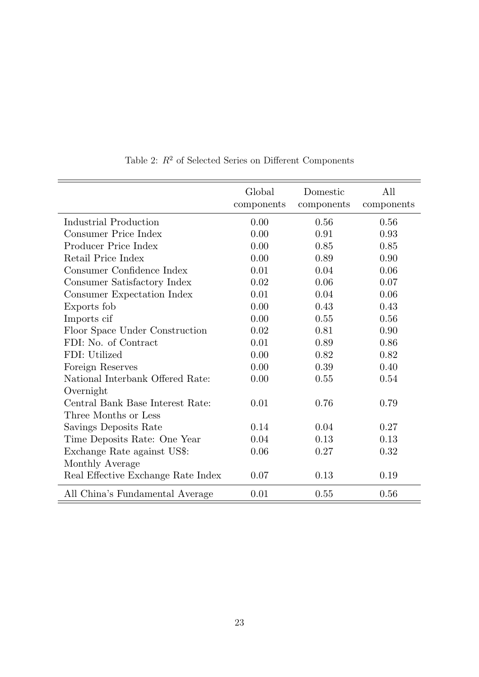|                                    | Global<br>components | Domestic<br>components | All<br>components |
|------------------------------------|----------------------|------------------------|-------------------|
| Industrial Production              | 0.00                 | 0.56                   | 0.56              |
| Consumer Price Index               | 0.00                 | 0.91                   | 0.93              |
| Producer Price Index               | 0.00                 | 0.85                   | 0.85              |
| Retail Price Index                 | 0.00                 | 0.89                   | 0.90              |
| Consumer Confidence Index          | 0.01                 | 0.04                   | 0.06              |
| Consumer Satisfactory Index        | 0.02                 | 0.06                   | 0.07              |
| Consumer Expectation Index         | 0.01                 | 0.04                   | 0.06              |
| Exports fob                        | 0.00                 | 0.43                   | 0.43              |
| Imports cif                        | 0.00                 | 0.55                   | 0.56              |
| Floor Space Under Construction     | 0.02                 | 0.81                   | 0.90              |
| FDI: No. of Contract               | 0.01                 | 0.89                   | 0.86              |
| FDI: Utilized                      | 0.00                 | 0.82                   | 0.82              |
| Foreign Reserves                   | 0.00                 | 0.39                   | 0.40              |
| National Interbank Offered Rate:   | 0.00                 | 0.55                   | 0.54              |
| Overnight                          |                      |                        |                   |
| Central Bank Base Interest Rate:   | 0.01                 | 0.76                   | 0.79              |
| Three Months or Less               |                      |                        |                   |
| Savings Deposits Rate              | 0.14                 | 0.04                   | 0.27              |
| Time Deposits Rate: One Year       | 0.04                 | 0.13                   | 0.13              |
| Exchange Rate against US\$:        | 0.06                 | 0.27                   | 0.32              |
| Monthly Average                    |                      |                        |                   |
| Real Effective Exchange Rate Index | 0.07                 | 0.13                   | 0.19              |
| All China's Fundamental Average    | 0.01                 | 0.55                   | 0.56              |

Table 2:  $R^2$  of Selected Series on Different Components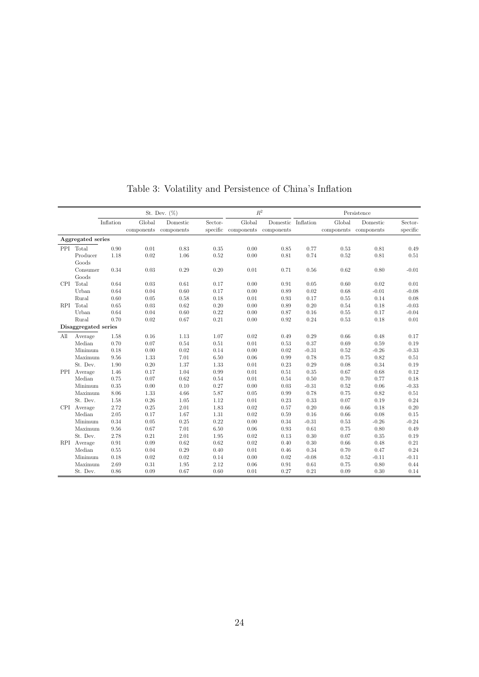|            |                      |           |        | St. Dev. $(\%)$                   |         |                                          | $R^2$              |          | Persistence |                                   |                     |
|------------|----------------------|-----------|--------|-----------------------------------|---------|------------------------------------------|--------------------|----------|-------------|-----------------------------------|---------------------|
|            |                      | Inflation | Global | Domestic<br>components components | Sector- | Global<br>specific components components | Domestic Inflation |          | Global      | Domestic<br>components components | Sector-<br>specific |
|            | Aggregated series    |           |        |                                   |         |                                          |                    |          |             |                                   |                     |
|            | PPI Total            | 0.90      | 0.01   | 0.83                              | 0.35    | 0.00                                     | 0.85               | 0.77     | 0.53        | 0.81                              | 0.49                |
|            | Producer             | 1.18      | 0.02   | 1.06                              | 0.52    | 0.00                                     | 0.81               | 0.74     | 0.52        | 0.81                              | 0.51                |
|            | Goods                |           |        |                                   |         |                                          |                    |          |             |                                   |                     |
|            | Consumer             | 0.34      | 0.03   | 0.29                              | 0.20    | 0.01                                     | 0.71               | 0.56     | 0.62        | 0.80                              | $-0.01$             |
|            | Goods                |           |        |                                   |         |                                          |                    |          |             |                                   |                     |
| CPI -      | Total                | 0.64      | 0.03   | 0.61                              | 0.17    | 0.00                                     | 0.91               | 0.05     | 0.60        | 0.02                              | 0.01                |
|            | Urban                | 0.64      | 0.04   | 0.60                              | 0.17    | 0.00                                     | 0.89               | 0.02     | 0.68        | $-0.01$                           | $-0.08$             |
|            | Rural                | 0.60      | 0.05   | 0.58                              | 0.18    | 0.01                                     | 0.93               | 0.17     | 0.55        | 0.14                              | 0.08                |
| RPI        | Total                | 0.65      | 0.03   | 0.62                              | 0.20    | 0.00                                     | 0.89               | 0.20     | 0.54        | 0.18                              | $-0.03$             |
|            | Urban                | 0.64      | 0.04   | 0.60                              | 0.22    | 0.00                                     | 0.87               | 0.16     | 0.55        | 0.17                              | $-0.04$             |
|            | Rural                | 0.70      | 0.02   | 0.67                              | 0.21    | $0.00\,$                                 | 0.92               | 0.24     | 0.53        | 0.18                              | 0.01                |
|            | Disaggregated series |           |        |                                   |         |                                          |                    |          |             |                                   |                     |
| All        | Average              | 1.58      | 0.16   | 1.13                              | 1.07    | 0.02                                     | 0.49               | 0.29     | 0.66        | 0.48                              | 0.17                |
|            | Median               | 0.70      | 0.07   | 0.54                              | 0.51    | 0.01                                     | 0.53               | 0.37     | 0.69        | 0.59                              | 0.19                |
|            | Minimum              | 0.18      | 0.00   | 0.02                              | 0.14    | $0.00\,$                                 | 0.02               | $-0.31$  | 0.52        | $-0.26$                           | $-0.33$             |
|            | Maximum              | 9.56      | 1.33   | 7.01                              | 6.50    | $0.06\,$                                 | 0.99               | 0.78     | 0.75        | 0.82                              | 0.51                |
|            | St. Dev.             | 1.90      | 0.20   | 1.37                              | 1.33    | 0.01                                     | 0.23               | 0.29     | 0.08        | 0.34                              | 0.19                |
|            | PPI Average          | 1.46      | 0.17   | 1.04                              | 0.99    | 0.01                                     | 0.51               | 0.35     | 0.67        | 0.68                              | 0.12                |
|            | Median               | 0.75      | 0.07   | 0.62                              | 0.54    | 0.01                                     | 0.54               | 0.50     | 0.70        | 0.77                              | 0.18                |
|            | Minimum              | 0.35      | 0.00   | 0.10                              | 0.27    | 0.00                                     | 0.03               | $-0.31$  | 0.52        | 0.06                              | $-0.33$             |
|            | Maximum              | 8.06      | 1.33   | 4.66                              | 5.87    | 0.05                                     | 0.99               | 0.78     | 0.75        | 0.82                              | 0.51                |
|            | St. Dev.             | 1.58      | 0.26   | 1.05                              | 1.12    | 0.01                                     | 0.23               | 0.33     | 0.07        | 0.19                              | 0.24                |
|            | CPI Average          | 2.72      | 0.25   | 2.01                              | 1.83    | 0.02                                     | 0.57               | 0.20     | 0.66        | 0.18                              | 0.20                |
|            | Median               | 2.05      | 0.17   | 1.67                              | 1.31    | 0.02                                     | 0.59               | 0.16     | 0.66        | 0.08                              | 0.15                |
|            | Minimum              | 0.34      | 0.05   | 0.25                              | 0.22    | 0.00                                     | 0.34               | $-0.31$  | 0.53        | $-0.26$                           | $-0.24$             |
|            | Maximum              | 9.56      | 0.67   | 7.01                              | 6.50    | 0.06                                     | 0.93               | 0.61     | 0.75        | 0.80                              | 0.49                |
|            | St. Dev.             | 2.78      | 0.21   | 2.01                              | 1.95    | 0.02                                     | 0.13               | 0.30     | 0.07        | 0.35                              | 0.19                |
| <b>RPI</b> | Average              | 0.91      | 0.09   | 0.62                              | 0.62    | 0.02                                     | 0.40               | 0.30     | 0.66        | 0.48                              | 0.21                |
|            | Median               | 0.55      | 0.04   | 0.29                              | 0.40    | 0.01                                     | 0.46               | 0.34     | 0.70        | 0.47                              | 0.24                |
|            | Minimum              | 0.18      | 0.02   | 0.02                              | 0.14    | 0.00                                     | 0.02               | $-0.08$  | 0.52        | $-0.11$                           | $-0.11$             |
|            | Maximum              | 2.69      | 0.31   | 1.95                              | 2.12    | 0.06                                     | 0.91               | $\,0.61$ | 0.75        | 0.80                              | 0.44                |
|            | St. Dev.             | 0.86      | 0.09   | 0.67                              | 0.60    | 0.01                                     | 0.27               | 0.21     | 0.09        | 0.30                              | 0.14                |

Table 3: Volatility and Persistence of China's Inflation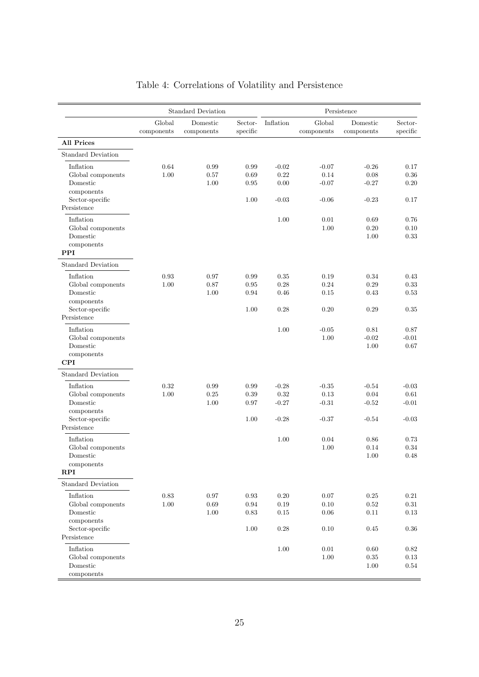|                                                                                            |                      | <b>Standard Deviation</b> |                                    |                                       |                                       | Persistence                           |                                       |
|--------------------------------------------------------------------------------------------|----------------------|---------------------------|------------------------------------|---------------------------------------|---------------------------------------|---------------------------------------|---------------------------------------|
|                                                                                            | Global<br>components | Domestic<br>components    | Sector-<br>specific                | Inflation                             | Global<br>components                  | Domestic<br>components                | Sector-<br>specific                   |
| <b>All Prices</b>                                                                          |                      |                           |                                    |                                       |                                       |                                       |                                       |
| <b>Standard Deviation</b>                                                                  |                      |                           |                                    |                                       |                                       |                                       |                                       |
| Inflation<br>Global components<br>Domestic<br>components                                   | 0.64<br>1.00         | 0.99<br>0.57<br>1.00      | 0.99<br>0.69<br>$\rm 0.95$         | $-0.02$<br>0.22<br>0.00               | $-0.07$<br>0.14<br>$-0.07$            | $-0.26$<br>0.08<br>$-0.27$            | 0.17<br>0.36<br>0.20                  |
| Sector-specific<br>Persistence                                                             |                      |                           | 1.00                               | $-0.03$                               | $-0.06$                               | $-0.23$                               | 0.17                                  |
| Inflation<br>Global components<br>Domestic<br>components<br>$\bf PPI$                      |                      |                           |                                    | 1.00                                  | 0.01<br>1.00                          | 0.69<br>0.20<br>$1.00\,$              | 0.76<br>0.10<br>0.33                  |
| <b>Standard Deviation</b>                                                                  |                      |                           |                                    |                                       |                                       |                                       |                                       |
| Inflation<br>Global components<br>Domestic<br>components                                   | 0.93<br>1.00         | 0.97<br>0.87<br>1.00      | 0.99<br>0.95<br>0.94               | 0.35<br>0.28<br>0.46                  | 0.19<br>0.24<br>0.15                  | 0.34<br>$0.29\,$<br>0.43              | 0.43<br>0.33<br>0.53                  |
| Sector-specific<br>Persistence                                                             |                      |                           | 1.00                               | 0.28                                  | 0.20                                  | 0.29                                  | 0.35                                  |
| Inflation<br>Global components<br>Domestic<br>components<br><b>CPI</b>                     |                      |                           |                                    | 1.00                                  | $-0.05$<br>1.00                       | 0.81<br>$-0.02$<br>1.00               | 0.87<br>$-0.01$<br>0.67               |
| <b>Standard Deviation</b>                                                                  |                      |                           |                                    |                                       |                                       |                                       |                                       |
| Inflation<br>Global components<br>Domestic<br>components<br>Sector-specific<br>Persistence | 0.32<br>1.00         | 0.99<br>0.25<br>1.00      | 0.99<br>0.39<br>0.97<br>1.00       | $-0.28$<br>0.32<br>$-0.27$<br>$-0.28$ | $-0.35$<br>0.13<br>$-0.31$<br>$-0.37$ | $-0.54$<br>0.04<br>$-0.52$<br>$-0.54$ | $-0.03$<br>0.61<br>$-0.01$<br>$-0.03$ |
| Inflation<br>Global components<br>Domestic<br>components<br>RPI                            |                      |                           |                                    | 1.00                                  | 0.04<br>1.00                          | 0.86<br>0.14<br>1.00                  | 0.73<br>0.34<br>0.48                  |
| <b>Standard Deviation</b>                                                                  |                      |                           |                                    |                                       |                                       |                                       |                                       |
| Inflation<br>Global components<br>Domestic<br>components<br>Sector-specific                | 0.83<br>1.00         | 0.97<br>$0.69\,$<br>1.00  | 0.93<br>$\rm 0.94$<br>0.83<br>1.00 | 0.20<br>0.19<br>0.15<br>0.28          | 0.07<br>0.10<br>0.06<br>0.10          | 0.25<br>$0.52\,$<br>0.11<br>0.45      | 0.21<br>$0.31\,$<br>0.13<br>0.36      |
| Persistence<br>Inflation<br>Global components<br>Domestic<br>components                    |                      |                           |                                    | 1.00                                  | 0.01<br>$1.00\,$                      | 0.60<br>$0.35\,$<br>1.00              | 0.82<br>0.13<br>0.54                  |

### Table 4: Correlations of Volatility and Persistence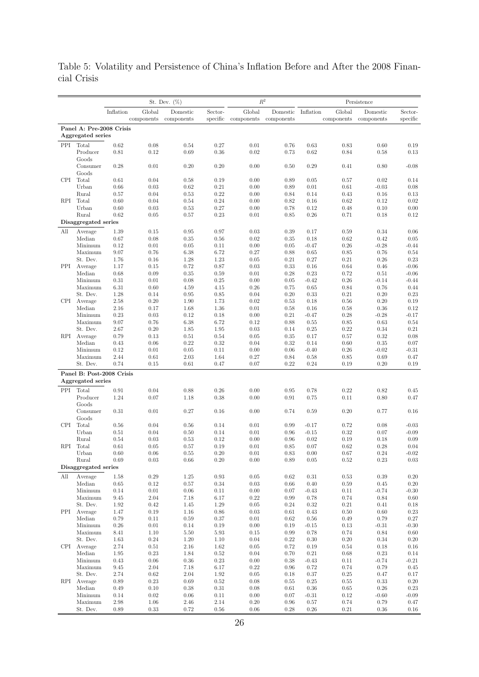Table 5: Volatility and Persistence of China's Inflation Before and After the 2008 Financial Crisis

|            | $\mathbb{R}^2$<br>St. Dev. $(\%)$<br>Persistence |                           |                  |              |                  |              |              |                  |              |                 |                     |
|------------|--------------------------------------------------|---------------------------|------------------|--------------|------------------|--------------|--------------|------------------|--------------|-----------------|---------------------|
|            |                                                  | Inflation                 | Global           | Domestic     | Sector-          | Global       | Domestic     | Inflation        | Global       | Domestic        | Sector-             |
|            |                                                  |                           | components       | components   | specific         | components   | components   |                  | components   | components      | specific            |
|            |                                                  | Panel A: Pre-2008 Crisis  |                  |              |                  |              |              |                  |              |                 |                     |
|            | Aggregated series                                |                           |                  |              |                  |              |              |                  |              |                 |                     |
| PPI        | Total                                            | 0.62                      | 0.08             | 0.54         | 0.27             | 0.01         | 0.76         | 0.63             | 0.83         | 0.60            | 0.19                |
|            | Producer                                         | 0.81                      | 0.12             | 0.69         | 0.36             | 0.02         | 0.73         | 0.62             | 0.84         | 0.58            | 0.13                |
|            | Goods                                            |                           |                  |              |                  |              |              |                  |              |                 |                     |
|            | Consumer<br>Goods                                | 0.28                      | 0.01             | 0.20         | 0.20             | 0.00         | 0.50         | 0.29             | 0.41         | 0.80            | $-0.08$             |
| <b>CPI</b> | Total                                            | 0.61                      | 0.04             | 0.58         | 0.19             | 0.00         | 0.89         | 0.05             | 0.57         | 0.02            | 0.14                |
|            | Urban                                            | 0.66                      | 0.03             | 0.62         | 0.21             | 0.00         | 0.89         | 0.01             | 0.61         | $-0.03$         | 0.08                |
|            | Rural                                            | 0.57                      | 0.04             | 0.53         | 0.22             | 0.00         | 0.84         | 0.14             | 0.43         | 0.16            | 0.13                |
| RPI        | Total                                            | 0.60                      | 0.04             | 0.54         | 0.24             | 0.00         | 0.82         | 0.16             | 0.62         | 0.12            | 0.02                |
|            | Urban                                            | 0.60                      | 0.03             | 0.53         | 0.27             | 0.00         | 0.78         | 0.12             | 0.48         | 0.10            | 0.00                |
|            | Rural<br>Disaggregated series                    | 0.62                      | 0.05             | 0.57         | 0.23             | 0.01         | 0.85         | 0.26             | 0.71         | 0.18            | 0.12                |
|            |                                                  |                           |                  |              |                  |              |              |                  |              |                 |                     |
| All        | Average<br>Median                                | 1.39<br>0.67              | 0.15<br>0.08     | 0.95<br>0.35 | 0.97<br>$0.56\,$ | 0.03<br>0.02 | 0.39<br>0.35 | 0.17<br>$0.18\,$ | 0.59<br>0.62 | 0.34<br>0.42    | 0.06<br>0.05        |
|            | Minimum                                          | 0.12                      | 0.01             | 0.05         | 0.11             | 0.00         | 0.05         | $-0.47$          | 0.26         | $-0.28$         | $-0.44$             |
|            | Maximum                                          | 9.07                      | 0.76             | 6.38         | 6.72             | 0.27         | 0.88         | 0.65             | 0.85         | 0.76            | 0.54                |
|            | St. Dev.                                         | 1.76                      | 0.16             | 1.28         | $1.23\,$         | 0.05         | 0.21         | 0.27             | 0.21         | 0.26            | 0.23                |
| PPI        | Average                                          | 1.17                      | 0.15             | 0.72         | 0.87             | 0.03         | 0.33         | 0.16             | 0.64         | 0.46            | $-0.06$             |
|            | Median                                           | 0.68                      | 0.09             | 0.35         | 0.59             | 0.01         | 0.28         | 0.23             | 0.72         | 0.51            | $-0.06$             |
|            | Minimum                                          | 0.31                      | 0.01             | 0.08         | 0.25             | 0.00         | 0.05         | $-0.42$          | 0.26         | $-0.14$         | $-0.44$             |
|            | Maximum<br>St. Dev.                              | 6.31<br>1.28              | 0.60<br>0.14     | 4.59<br>0.95 | 4.15<br>0.85     | 0.26<br>0.04 | 0.75<br>0.20 | 0.65<br>0.33     | 0.84<br>0.21 | 0.76<br>0.20    | 0.44<br>0.23        |
| CPI.       | Average                                          | 2.58                      | 0.20             | 1.90         | 1.73             | 0.02         | 0.53         | 0.18             | 0.56         | 0.20            | 0.19                |
|            | Median                                           | 2.16                      | 0.17             | 1.68         | 1.36             | 0.01         | 0.58         | 0.16             | 0.58         | 0.36            | 0.12                |
|            | Minimum                                          | 0.23                      | 0.03             | 0.12         | 0.18             | 0.00         | 0.21         | $-0.47$          | 0.28         | $-0.28$         | $-0.17$             |
|            | Maximum                                          | 9.07                      | 0.76             | 6.38         | 6.72             | 0.12         | 0.88         | 0.55             | 0.85         | 0.63            | 0.54                |
|            | St. Dev.                                         | 2.67                      | 0.20             | 1.85         | 1.95             | 0.03         | 0.14         | 0.25             | $0.22\,$     | 0.34            | 0.21                |
| RPI        | Average                                          | 0.79                      | 0.13             | 0.51         | 0.54             | 0.05         | 0.35         | 0.17             | 0.57         | 0.32            | 0.08                |
|            | Median                                           | 0.43                      | 0.06             | 0.22         | 0.32             | 0.04         | 0.32         | 0.14             | 0.60         | 0.35            | $0.07\,$            |
|            | Minimum<br>Maximum                               | 0.12<br>2.44              | 0.01<br>0.61     | 0.05<br>2.03 | 0.11<br>1.64     | 0.00<br>0.27 | 0.06<br>0.84 | $-0.40$<br>0.58  | 0.26<br>0.85 | $-0.02$<br>0.69 | $-0.31$<br>0.47     |
|            | St. Dev.                                         | 0.74                      | 0.15             | 0.61         | 0.47             | 0.07         | 0.22         | 0.24             | 0.19         | 0.20            | 0.19                |
|            |                                                  | Panel B: Post-2008 Crisis |                  |              |                  |              |              |                  |              |                 |                     |
|            | Aggregated series                                |                           |                  |              |                  |              |              |                  |              |                 |                     |
| PPI        | Total                                            | 0.91                      | 0.04             | 0.88         | 0.26             | 0.00         | 0.95         | 0.78             | 0.22         | 0.82            | 0.45                |
|            | Producer                                         | 1.24                      | 0.07             | 1.18         | 0.38             | 0.00         | 0.91         | 0.75             | 0.11         | 0.80            | 0.47                |
|            | Goods                                            |                           |                  |              |                  |              |              |                  |              |                 |                     |
|            | Consumer                                         | 0.31                      | 0.01             | 0.27         | 0.16             | 0.00         | 0.74         | 0.59             | 0.20         | 0.77            | 0.16                |
|            | Goods                                            |                           |                  |              |                  |              |              |                  |              |                 |                     |
| <b>CPI</b> | Total                                            | 0.56                      | 0.04             | 0.56         | 0.14             | 0.01         | 0.99         | $-0.17$          | 0.72         | 0.08            | $-0.03$             |
|            | Urban<br>Rural                                   | 0.51<br>0.54              | 0.04<br>0.03     | 0.50<br>0.53 | 0.14<br>0.12     | 0.01<br>0.00 | 0.96<br>0.96 | $-0.15$<br>0.02  | 0.32<br>0.19 | 0.07<br>0.18    | $-0.09$<br>0.09     |
| RPI        | Total                                            | 0.61                      | 0.05             | 0.57         | 0.19             | 0.01         | 0.85         | 0.07             | 0.62         | 0.28            | 0.04                |
|            | Urban                                            | 0.60                      | 0.06             | 0.55         | 0.20             | 0.01         | 0.83         | 0.00             | 0.67         | 0.24            | $-0.02$             |
|            | Rural                                            | 0.69                      | 0.03             | $0.66\,$     | $0.20\,$         | $0.00\,$     | 0.89         | $0.05\,$         | $\rm 0.52$   | $0.23\,$        | $\rm 0.03$          |
|            | Disaggregated series                             |                           |                  |              |                  |              |              |                  |              |                 |                     |
| All        | Average                                          | 1.58                      | 0.29             | 1.25         | $\rm 0.93$       | 0.05         | 0.62         | 0.31             | 0.53         | 0.39            | $0.20\,$            |
|            | Median                                           | 0.65                      | 0.12             | 0.57         | 0.34             | 0.03         | 0.66         | 0.40             | $0.59\,$     | 0.45            | $0.20\,$            |
|            | Minimum                                          | 0.14                      | 0.01             | 0.06         | 0.11             | 0.00         | 0.07         | $-0.43$          | 0.11         | $-0.74$         | $-0.30$             |
|            | Maximum                                          | 9.45                      | 2.04             | 7.18         | 6.17             | 0.22         | 0.99         | 0.78             | 0.74         | 0.84            | 0.60                |
| PPI        | St. Dev.<br>Average                              | 1.92<br>1.47              | 0.42<br>0.19     | 1.45<br>1.16 | 1.29<br>0.86     | 0.05<br>0.03 | 0.24<br>0.61 | 0.32<br>0.43     | 0.21<br>0.50 | 0.41<br>0.60    | 0.18<br>$0.23\,$    |
|            | Median                                           | 0.79                      | 0.11             | $0.59\,$     | 0.37             | 0.01         | 0.62         | $0.56\,$         | 0.49         | 0.79            | $0.27\,$            |
|            | Minimum                                          | 0.26                      | 0.01             | 0.14         | 0.19             | 0.00         | 0.19         | $-0.15$          | 0.13         | $-0.31$         | $-0.30$             |
|            | Maximum                                          | 8.41                      | 1.10             | 5.50         | 5.93             | 0.15         | 0.99         | $0.78\,$         | $0.74\,$     | 0.84            | $0.60\,$            |
|            | St. Dev.                                         | 1.63                      | 0.24             | 1.20         | 1.10             | 0.04         | 0.22         | $0.30\,$         | $0.20\,$     | 0.34            | $0.20\,$            |
| CPI.       | Average                                          | 2.74                      | 0.51             | 2.16         | 1.62             | 0.05         | 0.72         | $0.19\,$         | 0.54         | 0.18            | $0.16\,$            |
|            | Median                                           | 1.95                      | 0.23             | 1.84         | 0.52             | 0.04         | 0.70         | $0.21\,$         | 0.68         | 0.23            | 0.14                |
|            | Minimum                                          | 0.43                      | 0.06             | 0.36         | 0.23             | 0.00         | 0.38         | $-0.43$          | 0.11         | $-0.74$         | $-0.21$<br>$0.45\,$ |
|            | Maximum<br>St. Dev.                              | 9.45<br>2.74              | $2.04\,$<br>0.62 | 7.18<br>2.04 | 6.17<br>1.92     | 0.22<br>0.05 | 0.96<br>0.18 | 0.72<br>$0.37\,$ | 0.74<br>0.25 | 0.79<br>0.47    | $0.17\,$            |
| RPI        | Average                                          | 0.89                      | 0.23             | 0.69         | 0.52             | 0.08         | 0.55         | $0.25\,$         | 0.55         | 0.33            | $0.20\,$            |
|            | Median                                           | 0.49                      | 0.10             | 0.38         | 0.31             | 0.08         | 0.61         | 0.36             | 0.65         | 0.26            | $0.23\,$            |
|            | Minimum                                          | 0.14                      | 0.02             | $0.06\,$     | 0.11             | 0.00         | 0.07         | $-0.31$          | 0.12         | $-0.60$         | $-0.09$             |
|            | Maximum                                          | 2.98                      | 1.06             | 2.46         | $2.14\,$         | 0.20         | 0.96         | $0.57\,$         | 0.74         | 0.79            | 0.47                |
|            | St. Dev.                                         | 0.89                      | 0.33             | 0.72         | 0.56             | 0.06         | 0.28         | $0.26\,$         | $\rm 0.21$   | 0.36            | 0.16                |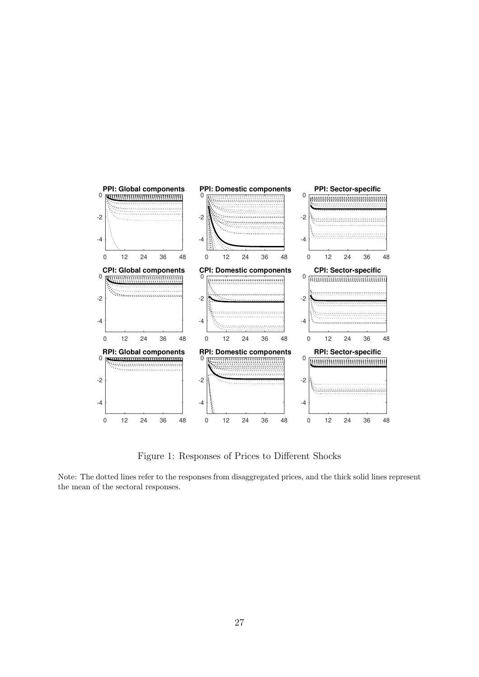

Figure 1: Responses of Prices to Different Shocks

Note: The dotted lines refer to the responses from disaggregated prices, and the thick solid lines represent the mean of the sectoral responses.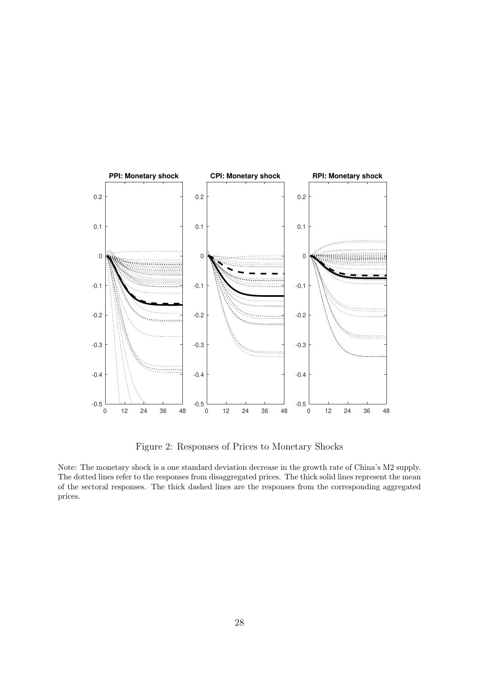

Figure 2: Responses of Prices to Monetary Shocks

Note: The monetary shock is a one standard deviation decrease in the growth rate of China's M2 supply. The dotted lines refer to the responses from disaggregated prices. The thick solid lines represent the mean of the sectoral responses. The thick dashed lines are the responses from the corresponding aggregated prices.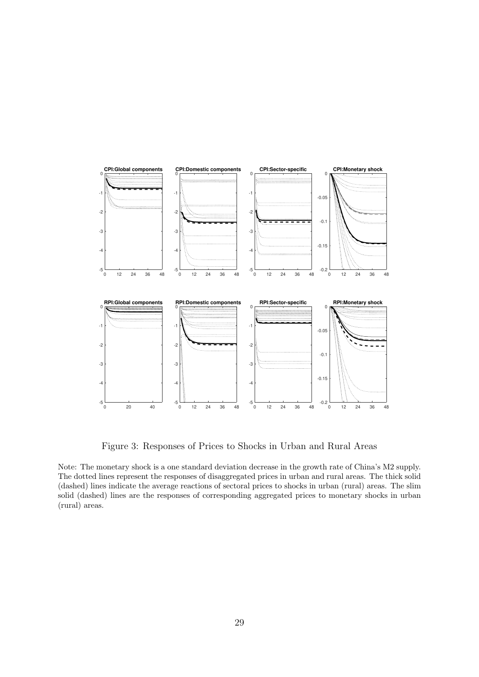

Figure 3: Responses of Prices to Shocks in Urban and Rural Areas

Note: The monetary shock is a one standard deviation decrease in the growth rate of China's M2 supply. The dotted lines represent the responses of disaggregated prices in urban and rural areas. The thick solid (dashed) lines indicate the average reactions of sectoral prices to shocks in urban (rural) areas. The slim solid (dashed) lines are the responses of corresponding aggregated prices to monetary shocks in urban (rural) areas.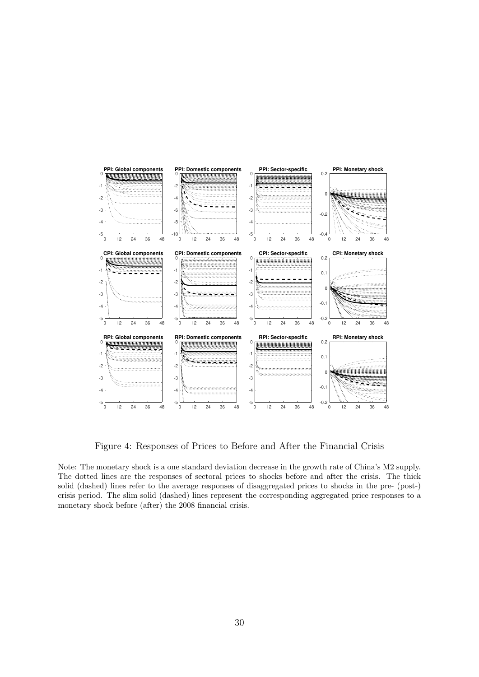

Figure 4: Responses of Prices to Before and After the Financial Crisis

Note: The monetary shock is a one standard deviation decrease in the growth rate of China's M2 supply. The dotted lines are the responses of sectoral prices to shocks before and after the crisis. The thick solid (dashed) lines refer to the average responses of disaggregated prices to shocks in the pre- (post-) crisis period. The slim solid (dashed) lines represent the corresponding aggregated price responses to a monetary shock before (after) the 2008 financial crisis.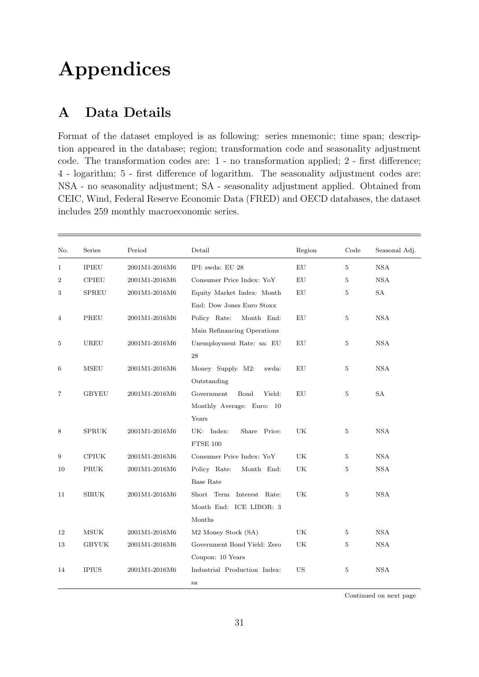# Appendices

# A Data Details

Format of the dataset employed is as following: series mnemonic; time span; description appeared in the database; region; transformation code and seasonality adjustment code. The transformation codes are: 1 - no transformation applied; 2 - first difference; 4 - logarithm; 5 - first difference of logarithm. The seasonality adjustment codes are: NSA - no seasonality adjustment; SA - seasonality adjustment applied. Obtained from CEIC, Wind, Federal Reserve Economic Data (FRED) and OECD databases, the dataset includes 259 monthly macroeconomic series.

| No.            | Series       | Period        | Detail                          | Region     | Code           | Seasonal Adj. |
|----------------|--------------|---------------|---------------------------------|------------|----------------|---------------|
| 1              | <b>IPIEU</b> | 2001M1-2016M6 | IPI: swda: EU 28                | EU         | 5              | <b>NSA</b>    |
| $\overline{2}$ | <b>CPIEU</b> | 2001M1-2016M6 | Consumer Price Index: YoY       | EU         | 5              | <b>NSA</b>    |
| 3              | <b>SPREU</b> | 2001M1-2016M6 | Equity Market Index: Month      | ${\rm EU}$ | 5              | <b>SA</b>     |
|                |              |               | End: Dow Jones Euro Stoxx       |            |                |               |
| 4              | PREU         | 2001M1-2016M6 | Policy Rate:<br>Month End:      | EU         | 5              | <b>NSA</b>    |
|                |              |               | Main Refinancing Operations     |            |                |               |
| 5              | <b>UREU</b>  | 2001M1-2016M6 | Unemployment Rate: sa: EU       | EU         | 5              | <b>NSA</b>    |
|                |              |               | 28                              |            |                |               |
| 6              | <b>MSEU</b>  | 2001M1-2016M6 | Money Supply M2:<br>swda:       | EU         | 5              | <b>NSA</b>    |
|                |              |               | Outstanding                     |            |                |               |
| 7              | <b>GBYEU</b> | 2001M1-2016M6 | Government<br>Bond<br>Yield:    | EU         | 5              | <b>SA</b>     |
|                |              |               | Monthly Average: Euro: 10       |            |                |               |
|                |              |               | Years                           |            |                |               |
| 8              | <b>SPRUK</b> | 2001M1-2016M6 | UK: Index:<br>Share Price:      | UK         | 5              | <b>NSA</b>    |
|                |              |               | <b>FTSE 100</b>                 |            |                |               |
| 9              | <b>CPIUK</b> | 2001M1-2016M6 | Consumer Price Index: YoY       | UK         | 5              | <b>NSA</b>    |
| 10             | PRUK         | 2001M1-2016M6 | Policy Rate:<br>Month End:      | UK         | 5              | <b>NSA</b>    |
|                |              |               | <b>Base Rate</b>                |            |                |               |
| 11             | <b>SIRUK</b> | 2001M1-2016M6 | Short Term Interest Rate:       | UK         | $\overline{5}$ | <b>NSA</b>    |
|                |              |               | Month End: ICE LIBOR: 3         |            |                |               |
|                |              |               | Months                          |            |                |               |
| 12             | <b>MSUK</b>  | 2001M1-2016M6 | M <sub>2</sub> Money Stock (SA) | UK         | 5              | <b>NSA</b>    |
| 13             | <b>GBYUK</b> | 2001M1-2016M6 | Government Bond Yield: Zero     | UK         | 5              | <b>NSA</b>    |
|                |              |               | Coupon: 10 Years                |            |                |               |
| 14             | <b>IPIUS</b> | 2001M1-2016M6 | Industrial Production Index:    | <b>US</b>  | 5              | <b>NSA</b>    |
|                |              |               | sa                              |            |                |               |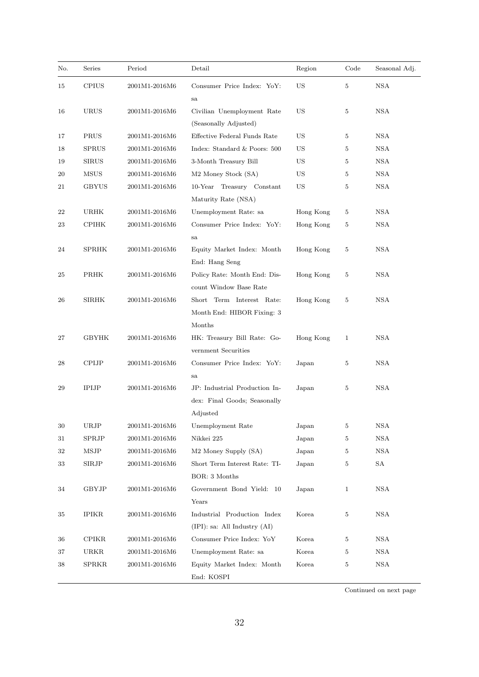| No. | Series       | Period        | Detail                                                                    | Region    | Code         | Seasonal Adj.     |
|-----|--------------|---------------|---------------------------------------------------------------------------|-----------|--------------|-------------------|
| 15  | <b>CPIUS</b> | 2001M1-2016M6 | Consumer Price Index: YoY:<br>sa                                          | <b>US</b> | 5            | <b>NSA</b>        |
| 16  | URUS         | 2001M1-2016M6 | Civilian Unemployment Rate<br>(Seasonally Adjusted)                       | US        | 5            | <b>NSA</b>        |
| 17  | PRUS         | 2001M1-2016M6 | Effective Federal Funds Rate                                              | <b>US</b> | 5            | <b>NSA</b>        |
| 18  | <b>SPRUS</b> | 2001M1-2016M6 | Index: Standard & Poors: 500                                              | US        | 5            | <b>NSA</b>        |
| 19  | <b>SIRUS</b> | 2001M1-2016M6 | 3-Month Treasury Bill                                                     | US        | 5            | <b>NSA</b>        |
| 20  | MSUS         | 2001M1-2016M6 | M <sub>2</sub> Money Stock (SA)                                           | US        | 5            | $_{\mathrm{NSA}}$ |
| 21  | GBYUS        | 2001M1-2016M6 | 10-Year Treasury Constant<br>Maturity Rate (NSA)                          | <b>US</b> | 5            | <b>NSA</b>        |
| 22  | URHK         | 2001M1-2016M6 | Unemployment Rate: sa                                                     | Hong Kong | 5            | <b>NSA</b>        |
| 23  | <b>CPIHK</b> | 2001M1-2016M6 | Consumer Price Index: YoY:<br>sa                                          | Hong Kong | 5            | <b>NSA</b>        |
| 24  | <b>SPRHK</b> | 2001M1-2016M6 | Equity Market Index: Month<br>End: Hang Seng                              | Hong Kong | 5            | <b>NSA</b>        |
| 25  | <b>PRHK</b>  | 2001M1-2016M6 | Policy Rate: Month End: Dis-<br>count Window Base Rate                    | Hong Kong | 5            | <b>NSA</b>        |
| 26  | <b>SIRHK</b> | 2001M1-2016M6 | Short Term Interest Rate:<br>Month End: HIBOR Fixing: 3<br>Months         | Hong Kong | 5            | <b>NSA</b>        |
| 27  | <b>GBYHK</b> | 2001M1-2016M6 | HK: Treasury Bill Rate: Go-<br>vernment Securities                        | Hong Kong | $\mathbf{1}$ | <b>NSA</b>        |
| 28  | <b>CPIJP</b> | 2001M1-2016M6 | Consumer Price Index: YoY:<br>sa                                          | Japan     | 5            | NSA               |
| 29  | <b>IPIJP</b> | 2001M1-2016M6 | JP: Industrial Production In-<br>dex: Final Goods; Seasonally<br>Adjusted | Japan     | 5            | <b>NSA</b>        |
| 30  | URJP         | 2001M1-2016M6 | Unemployment Rate                                                         | Japan     | 5            | <b>NSA</b>        |
| 31  | SPRJP        | 2001M1-2016M6 | Nikkei 225                                                                | Japan     | 5            | <b>NSA</b>        |
| 32  | <b>MSJP</b>  | 2001M1-2016M6 | M2 Money Supply (SA)                                                      | Japan     | 5            | <b>NSA</b>        |
| 33  | SIRJP        | 2001M1-2016M6 | Short Term Interest Rate: TI-<br>BOR: 3 Months                            | Japan     | 5            | SA                |
| 34  | <b>GBYJP</b> | 2001M1-2016M6 | Government Bond Yield: 10<br>Years                                        | Japan     | $\mathbf{1}$ | <b>NSA</b>        |
| 35  | IPIKR        | 2001M1-2016M6 | Industrial Production Index<br>(IPI): sa: All Industry (AI)               | Korea     | 5            | <b>NSA</b>        |
| 36  | <b>CPIKR</b> | 2001M1-2016M6 | Consumer Price Index: YoY                                                 | Korea     | 5            | <b>NSA</b>        |
| 37  | URKR         | 2001M1-2016M6 | Unemployment Rate: sa                                                     | Korea     | 5            | <b>NSA</b>        |
| 38  | <b>SPRKR</b> | 2001M1-2016M6 | Equity Market Index: Month<br>End: KOSPI                                  | Korea     | 5            | $_{\mathrm{NSA}}$ |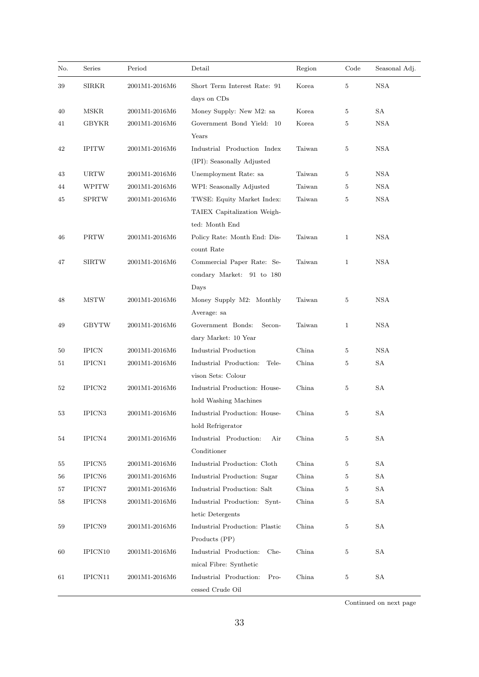| No. | Series              | Period        | Detail                                                                      | Region | Code           | Seasonal Adj. |
|-----|---------------------|---------------|-----------------------------------------------------------------------------|--------|----------------|---------------|
| 39  | <b>SIRKR</b>        | 2001M1-2016M6 | Short Term Interest Rate: 91<br>days on CDs                                 | Korea  | 5              | <b>NSA</b>    |
| 40  | <b>MSKR</b>         | 2001M1-2016M6 | Money Supply: New M2: sa                                                    | Korea  | 5              | SА            |
| 41  | GBYKR               | 2001M1-2016M6 | Government Bond Yield: 10<br>Years                                          | Korea  | 5              | <b>NSA</b>    |
| 42  | <b>IPITW</b>        | 2001M1-2016M6 | Industrial Production Index<br>(IPI): Seasonally Adjusted                   | Taiwan | $\overline{5}$ | <b>NSA</b>    |
| 43  | <b>URTW</b>         | 2001M1-2016M6 | Unemployment Rate: sa                                                       | Taiwan | 5              | <b>NSA</b>    |
| 44  | WPITW               | 2001M1-2016M6 | WPI: Seasonally Adjusted                                                    | Taiwan | 5              | <b>NSA</b>    |
| 45  | <b>SPRTW</b>        | 2001M1-2016M6 | TWSE: Equity Market Index:<br>TAIEX Capitalization Weigh-<br>ted: Month End | Taiwan | $\overline{5}$ | <b>NSA</b>    |
| 46  | <b>PRTW</b>         | 2001M1-2016M6 | Policy Rate: Month End: Dis-<br>count Rate                                  | Taiwan | $\mathbf{1}$   | <b>NSA</b>    |
| 47  | <b>SIRTW</b>        | 2001M1-2016M6 | Commercial Paper Rate: Se-<br>condary Market: 91 to 180<br>Days             | Taiwan | $\mathbf{1}$   | <b>NSA</b>    |
| 48  | <b>MSTW</b>         | 2001M1-2016M6 | Money Supply M2: Monthly<br>Average: sa                                     | Taiwan | 5              | <b>NSA</b>    |
| 49  | <b>GBYTW</b>        | 2001M1-2016M6 | Government Bonds:<br>Secon-<br>dary Market: 10 Year                         | Taiwan | 1              | <b>NSA</b>    |
| 50  | <b>IPICN</b>        | 2001M1-2016M6 | <b>Industrial Production</b>                                                | China  | 5              | <b>NSA</b>    |
| 51  | IPICN1              | 2001M1-2016M6 | Industrial Production:<br>Tele-<br>vison Sets: Colour                       | China  | 5              | SА            |
| 52  | IPICN <sub>2</sub>  | 2001M1-2016M6 | Industrial Production: House-<br>hold Washing Machines                      | China  | 5              | SА            |
| 53  | IPICN3              | 2001M1-2016M6 | Industrial Production: House-<br>hold Refrigerator                          | China  | 5              | SA            |
| 54  | IPICN4              | 2001M1-2016M6 | Industrial Production:<br>Air<br>Conditioner                                | China  | 5              | SA            |
| 55  | IPICN <sub>5</sub>  | 2001M1-2016M6 | Industrial Production: Cloth                                                | China  | 5              | SA            |
| 56  | IPICN <sub>6</sub>  | 2001M1-2016M6 | Industrial Production: Sugar                                                | China  | 5              | SA            |
| 57  | IPICN7              | 2001M1-2016M6 | Industrial Production: Salt                                                 | China  | 5              | SA            |
| 58  | IPICN <sub>8</sub>  | 2001M1-2016M6 | Industrial Production: Synt-<br>hetic Detergents                            | China  | 5              | SA            |
| 59  | IPICN9              | 2001M1-2016M6 | Industrial Production: Plastic<br>Products (PP)                             | China  | 5              | SА            |
| 60  | IPICN <sub>10</sub> | 2001M1-2016M6 | Industrial Production:<br>$Che-$<br>mical Fibre: Synthetic                  | China  | 5              | SA            |
| 61  | IPICN11             | 2001M1-2016M6 | Industrial Production:<br>$Pro-$<br>cessed Crude Oil                        | China  | 5              | SA            |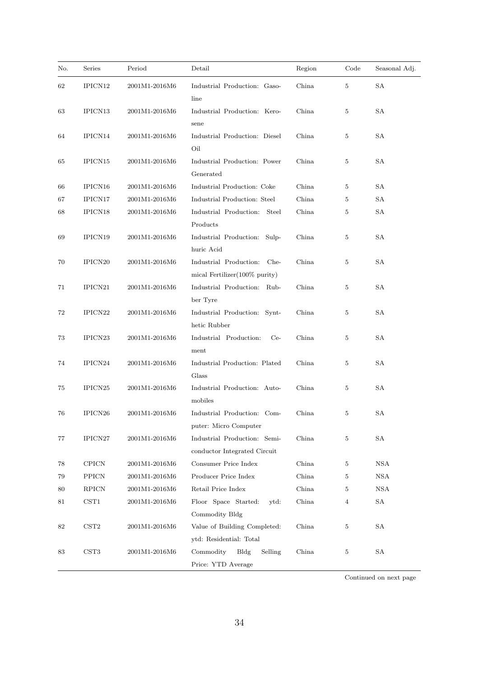| No. | Series              | Period        | Detail                                                                       | Region | Code           | Seasonal Adj. |
|-----|---------------------|---------------|------------------------------------------------------------------------------|--------|----------------|---------------|
| 62  | IPICN12             | 2001M1-2016M6 | Industrial Production: Gaso-<br>line                                         | China  | $\overline{5}$ | <b>SA</b>     |
| 63  | IPICN13             | 2001M1-2016M6 | Industrial Production: Kero-<br>sene                                         | China  | 5              | SА            |
| 64  | IPICN14             | 2001M1-2016M6 | Industrial Production: Diesel<br>Oil                                         | China  | $\bf 5$        | SА            |
| 65  | IPICN15             | 2001M1-2016M6 | Industrial Production: Power<br>Generated                                    | China  | 5              | SA            |
| 66  | IPICN16             | 2001M1-2016M6 | Industrial Production: Coke                                                  | China  | $\bf 5$        | <b>SA</b>     |
| 67  | IPICN17             | 2001M1-2016M6 | Industrial Production: Steel                                                 | China  | 5              | <b>SA</b>     |
| 68  | IPICN18             | 2001M1-2016M6 | Industrial Production: Steel<br>Products                                     | China  | 5              | SA            |
| 69  | IPICN19             | 2001M1-2016M6 | Industrial Production: Sulp-<br>huric Acid                                   | China  | 5              | SA            |
| 70  | IPICN <sub>20</sub> | 2001M1-2016M6 | Industrial Production:<br>$_{\rm Che-}$<br>mical Fertilizer $(100\%$ purity) | China  | $\bf 5$        | SА            |
| 71  | IPICN21             | 2001M1-2016M6 | Industrial Production: Rub-<br>ber Tyre                                      | China  | $\bf 5$        | SА            |
| 72  | IPICN <sub>22</sub> | 2001M1-2016M6 | Industrial Production: Synt-<br>hetic Rubber                                 | China  | $\overline{5}$ | <b>SA</b>     |
| 73  | IPICN <sub>23</sub> | 2001M1-2016M6 | Industrial Production:<br>$Ce-$<br>ment                                      | China  | 5              | <b>SA</b>     |
| 74  | IPICN <sub>24</sub> | 2001M1-2016M6 | Industrial Production: Plated<br>Glass                                       | China  | 5              | <b>SA</b>     |
| 75  | IPICN <sub>25</sub> | 2001M1-2016M6 | Industrial Production: Auto-<br>mobiles                                      | China  | 5              | SA            |
| 76  | IPICN26             | 2001M1-2016M6 | Industrial Production: Com-<br>puter: Micro Computer                         | China  | $\bf 5$        | SA            |
| 77  | IPICN27             | 2001M1-2016M6 | Industrial Production: Semi-<br>conductor Integrated Circuit                 | China  | $\bf 5$        | SA            |
| 78  | <b>CPICN</b>        | 2001M1-2016M6 | Consumer Price Index                                                         | China  | 5              | <b>NSA</b>    |
| 79  | <b>PPICN</b>        | 2001M1-2016M6 | Producer Price Index                                                         | China  | $\bf 5$        | <b>NSA</b>    |
| 80  | <b>RPICN</b>        | 2001M1-2016M6 | Retail Price Index                                                           | China  | 5              | <b>NSA</b>    |
| 81  | CST1                | 2001M1-2016M6 | Floor Space Started:<br>ytd:                                                 | China  | $\overline{4}$ | SA            |
|     |                     |               | Commodity Bldg                                                               |        |                |               |
| 82  | CST2                | 2001M1-2016M6 | Value of Building Completed:<br>ytd: Residential: Total                      | China  | $\bf 5$        | SA            |
| 83  | CST3                | 2001M1-2016M6 | Commodity<br>Bldg<br>Selling<br>Price: YTD Average                           | China  | $\bf 5$        | SA            |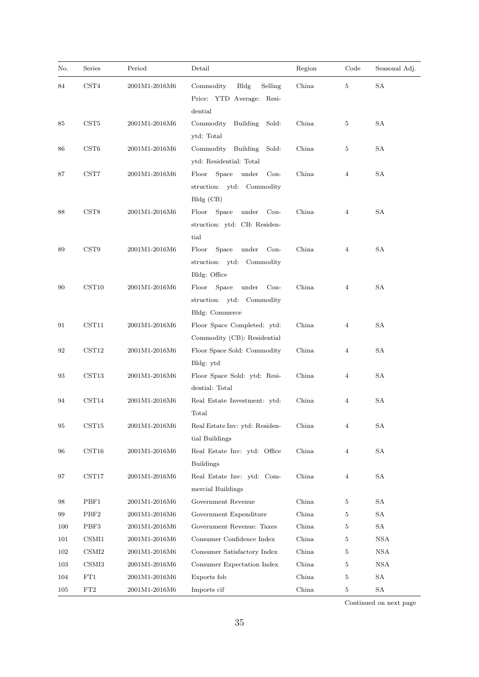| No. | Series                | Period        | Detail                                                                                           | Region | Code           | Seasonal Adj. |
|-----|-----------------------|---------------|--------------------------------------------------------------------------------------------------|--------|----------------|---------------|
| 84  | CST4                  | 2001M1-2016M6 | Commodity<br>Bldg<br>Selling<br>Price: YTD Average: Resi-                                        | China  | 5              | <b>SA</b>     |
| 85  | $\operatorname{CST5}$ | 2001M1-2016M6 | dential<br>Commodity<br>Building<br>Sold:<br>ytd: Total                                          | China  | 5              | SA            |
| 86  | CST6                  | 2001M1-2016M6 | Building<br>Commodity<br>Sold:<br>ytd: Residential: Total                                        | China  | 5              | SA            |
| 87  | $\operatorname{CST7}$ | 2001M1-2016M6 | Space under<br>$Con-$<br>Floor<br>struction: ytd: Commodity<br>$Bldg$ (CB)                       | China  | $\overline{4}$ | SA            |
| 88  | CST8                  | 2001M1-2016M6 | Space<br>under<br>Floor<br>$Con-$<br>struction: ytd: CB: Residen-<br>tial                        | China  | 4              | SA            |
| 89  | CST9                  | 2001M1-2016M6 | Floor<br>Space<br>under<br>$Con-$<br>struction: ytd: Commodity                                   | China  | $\overline{4}$ | <b>SA</b>     |
| 90  | CST10                 | 2001M1-2016M6 | Bldg: Office<br>Space<br>under<br>Floor<br>$Con-$<br>struction: ytd: Commodity<br>Bldg: Commerce | China  | $\overline{4}$ | SA            |
| 91  | CST11                 | 2001M1-2016M6 | Floor Space Completed: ytd:<br>Commodity (CB): Residential                                       | China  | 4              | SA            |
| 92  | CST12                 | 2001M1-2016M6 | Floor Space Sold: Commodity<br>Bldg: ytd                                                         | China  | 4              | SA            |
| 93  | CST13                 | 2001M1-2016M6 | Floor Space Sold: ytd: Resi-<br>dential: Total                                                   | China  | 4              | SA            |
| 94  | CST14                 | 2001M1-2016M6 | Real Estate Investment: ytd:<br>Total                                                            | China  | $\overline{4}$ | <b>SA</b>     |
| 95  | CST <sub>15</sub>     | 2001M1-2016M6 | Real Estate Inv: ytd: Residen-<br>tial Buildings                                                 | China  | $\overline{4}$ | SA            |
| 96  | CST16                 | 2001M1-2016M6 | Real Estate Inv: ytd: Office<br><b>Buildings</b>                                                 | China  | $\overline{4}$ | SA            |
| 97  | $\text{CST17}$        | 2001M1-2016M6 | Real Estate Inv: ytd: Com-<br>mercial Buildings                                                  | China  | 4              | <b>SA</b>     |
| 98  | PBF1                  | 2001M1-2016M6 | Government Revenue                                                                               | China  | 5              | SА            |
| 99  | PBF <sub>2</sub>      | 2001M1-2016M6 | Government Expenditure                                                                           | China  | 5              | SA            |
| 100 | PBF3                  | 2001M1-2016M6 | Government Revenue: Taxes                                                                        | China  | 5              | ${\rm SA}$    |
| 101 | CSMI1                 | 2001M1-2016M6 | Consumer Confidence Index                                                                        | China  | 5              | <b>NSA</b>    |
| 102 | CSMI2                 | 2001M1-2016M6 | Consumer Satisfactory Index                                                                      | China  | 5              | <b>NSA</b>    |
| 103 | CSM13                 | 2001M1-2016M6 | Consumer Expectation Index                                                                       | China  | 5              | <b>NSA</b>    |
| 104 | $\rm FT1$             | 2001M1-2016M6 | Exports fob                                                                                      | China  | 5              | SA            |
| 105 | ${\rm FT}2$           | 2001M1-2016M6 | Imports cif                                                                                      | China  | 5              | SA            |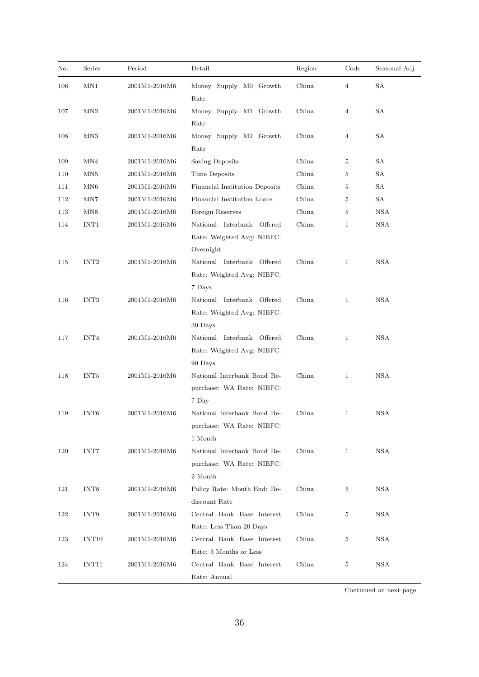| No. | Series            | Period                           | Detail                                                                | Region | Code           | Seasonal Adj. |
|-----|-------------------|----------------------------------|-----------------------------------------------------------------------|--------|----------------|---------------|
| 106 | MN1               | 2001M1-2016M6                    | Money Supply M0 Growth<br>Rate                                        | China  | $\overline{4}$ | SA            |
| 107 | MN2               | 2001M1-2016M6                    | Money Supply M1 Growth<br>Rate                                        | China  | 4              | SA            |
| 108 | MN3               | 2001M1-2016M6                    | Money Supply M2 Growth<br>Rate                                        | China  | 4              | SA            |
| 109 | MN4               | 2001M1-2016M6                    | Saving Deposits                                                       | China  | 5              | SA            |
| 110 | MN5               | 2001M1-2016M6                    | Time Deposits                                                         | China  | 5              | SA            |
| 111 | MN <sub>6</sub>   | 2001M1-2016M6                    | Financial Institution Deposits                                        | China  | 5              | SA            |
| 112 | MN7               | 2001M1-2016M6                    | Financial Institution Loans                                           | China  | 5              | SA            |
| 113 | MN8               | 2001M1-2016M6                    | Foreign Reserves                                                      | China  | 5              | <b>NSA</b>    |
| 114 | INT1              | 2001M1-2016M6                    | National Interbank Offered<br>Rate: Weighted Avg: NIBFC:<br>Overnight | China  | 1              | <b>NSA</b>    |
| 115 | INT <sub>2</sub>  | 2001M1-2016M6                    | National Interbank Offered<br>Rate: Weighted Avg: NIBFC:              | China  | $\mathbf{1}$   | <b>NSA</b>    |
| 116 | INT3              | 2001M1-2016M6                    | 7 Days<br>National Interbank Offered<br>Rate: Weighted Avg: NIBFC:    | China  | $\mathbf{1}$   | <b>NSA</b>    |
| 117 | INT4              | $2001\rm{M}1\text{-}2016\rm{M}6$ | 30 Days<br>National Interbank Offered<br>Rate: Weighted Avg: NIBFC:   | China  | $\mathbf{1}$   | <b>NSA</b>    |
| 118 | INT5              | 2001M1-2016M6                    | 90 Days<br>National Interbank Bond Re-<br>purchase: WA Rate: NIBFC:   | China  | $\mathbf{1}$   | <b>NSA</b>    |
| 119 | INT <sub>6</sub>  | 2001M1-2016M6                    | 7 Day<br>National Interbank Bond Re-<br>purchase: WA Rate: NIBFC:     | China  | $\mathbf{1}$   | <b>NSA</b>    |
| 120 | INT7              | 2001M1-2016M6                    | 1 Month<br>National Interbank Bond Re-<br>purchase. WA Rate: NIBFC:   | China  | 1              | NSA           |
| 121 | INT8              | 2001M1-2016M6                    | 2 Month<br>Policy Rate: Month End: Re-<br>discount Rate               | China  | 5              | NSA           |
| 122 | INT9              | 2001M1-2016M6                    | Central Bank Base Interest<br>Rate: Less Than 20 Days                 | China  | 5              | <b>NSA</b>    |
| 123 | INT <sub>10</sub> | 2001M1-2016M6                    | Central Bank Base Interest<br>Rate: 3 Months or Less                  | China  | 5              | NSA           |
| 124 | INT11             | 2001M1-2016M6                    | Central Bank Base Interest<br>Rate: Annual                            | China  | 5              | <b>NSA</b>    |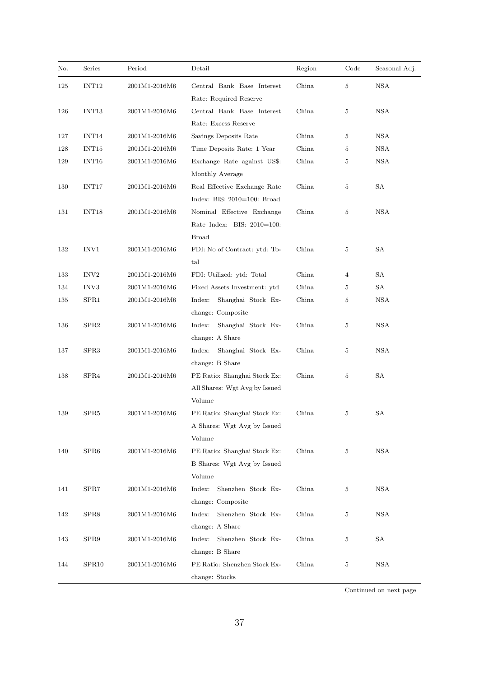| No. | Series            | Period        | Detail                                             | Region | Code           | Seasonal Adj.     |
|-----|-------------------|---------------|----------------------------------------------------|--------|----------------|-------------------|
| 125 | INT12             | 2001M1-2016M6 | Central Bank Base Interest                         | China  | $\overline{5}$ | $_{\mathrm{NSA}}$ |
|     |                   |               | Rate: Required Reserve                             |        |                |                   |
| 126 | INT13             | 2001M1-2016M6 | Central Bank Base Interest<br>Rate: Excess Reserve | China  | 5              | <b>NSA</b>        |
| 127 | INT14             | 2001M1-2016M6 | Savings Deposits Rate                              | China  | 5              | <b>NSA</b>        |
| 128 | INT <sub>15</sub> | 2001M1-2016M6 | Time Deposits Rate: 1 Year                         | China  | 5              | <b>NSA</b>        |
| 129 | INT16             | 2001M1-2016M6 | Exchange Rate against US\$:                        | China  | 5              | <b>NSA</b>        |
|     |                   |               | Monthly Average                                    |        |                |                   |
| 130 | INT17             | 2001M1-2016M6 | Real Effective Exchange Rate                       | China  | 5              | SA                |
|     |                   |               | Index: BIS: $2010=100$ : Broad                     |        |                |                   |
| 131 | INT <sub>18</sub> | 2001M1-2016M6 | Nominal Effective Exchange                         | China  | 5              | NSA               |
|     |                   |               | Rate Index: BIS: 2010=100:                         |        |                |                   |
|     |                   |               | <b>Broad</b>                                       |        |                |                   |
| 132 | INV1              | 2001M1-2016M6 | FDI: No of Contract: ytd: To-                      | China  | 5              | SA                |
|     |                   |               | tal                                                |        |                |                   |
| 133 | INV <sub>2</sub>  | 2001M1-2016M6 | FDI: Utilized: ytd: Total                          | China  | 4              | SA                |
| 134 | INV3              | 2001M1-2016M6 | Fixed Assets Investment: ytd                       | China  | 5              | SA                |
| 135 | SPR1              | 2001M1-2016M6 | Shanghai Stock Ex-<br>Index:                       | China  | 5              | <b>NSA</b>        |
|     |                   |               | change: Composite                                  |        |                |                   |
| 136 | SPR2              | 2001M1-2016M6 | Index:<br>Shanghai Stock Ex-                       | China  | 5              | NSA               |
|     |                   |               | change: A Share                                    |        |                |                   |
| 137 | SPR <sub>3</sub>  | 2001M1-2016M6 | Index:<br>Shanghai Stock Ex-                       | China  | 5              | NSA               |
|     |                   |               | change: B Share                                    |        |                |                   |
| 138 | SPR4              | 2001M1-2016M6 | PE Ratio: Shanghai Stock Ex:                       | China  | 5              | SA                |
|     |                   |               | All Shares: Wgt Avg by Issued                      |        |                |                   |
|     |                   |               | Volume                                             |        |                |                   |
| 139 | SPR5              | 2001M1-2016M6 | PE Ratio: Shanghai Stock Ex:                       | China  | 5              | SA                |
|     |                   |               | A Shares: Wgt Avg by Issued                        |        |                |                   |
|     |                   |               | Volume                                             |        |                |                   |
| 140 | SPR <sub>6</sub>  | 2001M1-2016M6 | PE Ratio: Shanghai Stock Ex:                       | China  | 5              | <b>NSA</b>        |
|     |                   |               | B Shares: Wgt Avg by Issued                        |        |                |                   |
|     |                   |               | Volume                                             |        |                |                   |
| 141 | SPR7              | 2001M1-2016M6 | Shenzhen Stock Ex-<br>Index:                       | China  | 5              | <b>NSA</b>        |
|     |                   |               | change: Composite                                  |        |                |                   |
| 142 | SPR8              | 2001M1-2016M6 | Shenzhen Stock Ex-<br>Index:                       | China  | 5              | NSA               |
|     |                   |               | change: A Share                                    |        |                |                   |
| 143 | SPR9              | 2001M1-2016M6 | Shenzhen Stock Ex-<br>Index:                       | China  | 5              | SΑ                |
|     |                   |               | change: B Share                                    |        |                |                   |
| 144 | SPR10             | 2001M1-2016M6 | PE Ratio: Shenzhen Stock Ex-                       | China  | 5              | NSA               |
|     |                   |               | change: Stocks                                     |        |                |                   |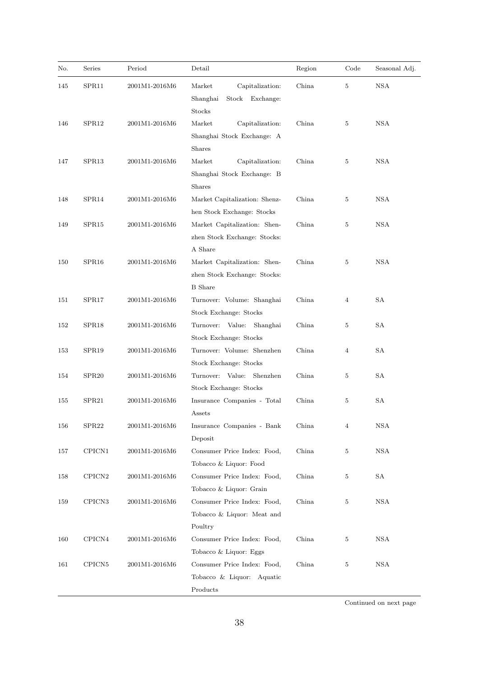| No. | Series             | Period        | Detail                                                                         | Region | Code           | Seasonal Adj.     |
|-----|--------------------|---------------|--------------------------------------------------------------------------------|--------|----------------|-------------------|
| 145 | SPR11              | 2001M1-2016M6 | Market<br>Capitalization.<br>Shanghai<br>Stock<br>Exchange:<br>Stocks          | China  | $5\,$          | $_{\mathrm{NSA}}$ |
| 146 | SPR <sub>12</sub>  | 2001M1-2016M6 | Market<br>Capitalization:<br>Shanghai Stock Exchange: A<br><b>Shares</b>       | China  | 5              | <b>NSA</b>        |
| 147 | SPR13              | 2001M1-2016M6 | Market<br>Capitalization:<br>Shanghai Stock Exchange: B<br><b>Shares</b>       | China  | 5              | <b>NSA</b>        |
| 148 | SPR14              | 2001M1-2016M6 | Market Capitalization: Shenz-<br>hen Stock Exchange: Stocks                    | China  | 5              | <b>NSA</b>        |
| 149 | SPR15              | 2001M1-2016M6 | Market Capitalization: Shen-<br>zhen Stock Exchange: Stocks:<br>A Share        | China  | 5              | <b>NSA</b>        |
| 150 | SPR16              | 2001M1-2016M6 | Market Capitalization: Shen-<br>zhen Stock Exchange: Stocks:<br><b>B</b> Share | China  | 5              | <b>NSA</b>        |
| 151 | SPR17              | 2001M1-2016M6 | Turnover: Volume: Shanghai<br>Stock Exchange: Stocks                           | China  | $\overline{4}$ | <b>SA</b>         |
| 152 | SPR18              | 2001M1-2016M6 | Turnover: Value:<br>Shanghai<br>Stock Exchange: Stocks                         | China  | 5              | SA                |
| 153 | SPR <sub>19</sub>  | 2001M1-2016M6 | Turnover: Volume: Shenzhen<br>Stock Exchange: Stocks                           | China  | $\overline{4}$ | SA                |
| 154 | SPR <sub>20</sub>  | 2001M1-2016M6 | Turnover: Value: Shenzhen<br>Stock Exchange: Stocks                            | China  | $\bf 5$        | SA                |
| 155 | SPR <sub>21</sub>  | 2001M1-2016M6 | Insurance Companies - Total<br>Assets                                          | China  | 5              | SA                |
| 156 | SPR <sub>22</sub>  | 2001M1-2016M6 | Insurance Companies - Bank<br>Deposit                                          | China  | $\overline{4}$ | <b>NSA</b>        |
| 157 | CPICN1             | 2001M1-2016M6 | Consumer Price Index: Food,<br>Tobacco & Liquor: Food                          | China  | $\,$ 5 $\,$    | <b>NSA</b>        |
| 158 | CPICN <sub>2</sub> | 2001M1-2016M6 | Consumer Price Index: Food,<br>Tobacco & Liquor: Grain                         | China  | $\,$ 5 $\,$    | SА                |
| 159 | CPICN <sub>3</sub> | 2001M1-2016M6 | Consumer Price Index: Food,<br>Tobacco & Liquor: Meat and<br>Poultry           | China  | 5              | <b>NSA</b>        |
| 160 | CPICN4             | 2001M1-2016M6 | Consumer Price Index: Food,<br>Tobacco & Liquor: Eggs                          | China  | $5\,$          | NSA               |
| 161 | CPICN <sub>5</sub> | 2001M1-2016M6 | Consumer Price Index: Food,<br>Tobacco & Liquor: Aquatic<br>Products           | China  | 5              | <b>NSA</b>        |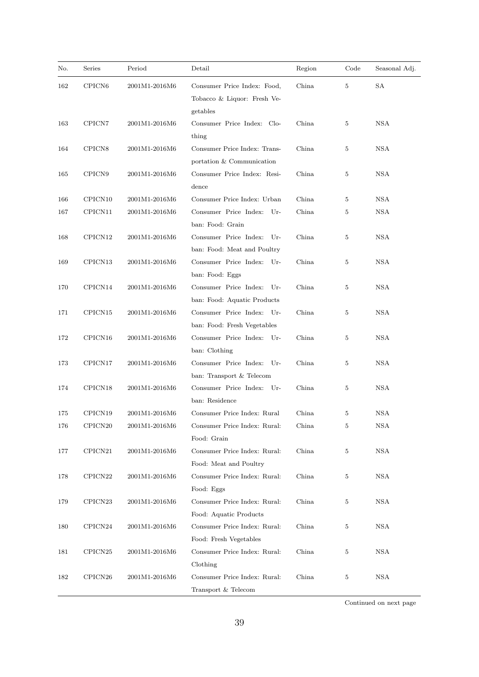| No. | Series             | Period                           | Detail                                                                 | Region | Code           | Seasonal Adj. |
|-----|--------------------|----------------------------------|------------------------------------------------------------------------|--------|----------------|---------------|
| 162 | CPICN <sub>6</sub> | 2001M1-2016M6                    | Consumer Price Index: Food,<br>Tobacco & Liquor: Fresh Ve-<br>getables | China  | $\overline{5}$ | SA            |
| 163 | CPICN7             | 2001M1-2016M6                    | Consumer Price Index: Clo-<br>thing                                    | China  | 5              | <b>NSA</b>    |
| 164 | CPICN <sub>8</sub> | 2001M1-2016M6                    | Consumer Price Index: Trans-<br>portation & Communication              | China  | 5              | <b>NSA</b>    |
| 165 | CPICN9             | 2001M1-2016M6                    | Consumer Price Index: Resi-<br>dence                                   | China  | 5              | <b>NSA</b>    |
| 166 | CPICN10            | 2001M1-2016M6                    | Consumer Price Index: Urban                                            | China  | 5              | <b>NSA</b>    |
| 167 | CPICN11            | 2001M1-2016M6                    | Consumer Price Index: Ur-<br>ban: Food: Grain                          | China  | $5\,$          | <b>NSA</b>    |
| 168 | CPICN12            | 2001M1-2016M6                    | Consumer Price Index: Ur-<br>ban: Food: Meat and Poultry               | China  | 5              | NSA           |
| 169 | CPICN13            | 2001M1-2016M6                    | Consumer Price Index: Ur-<br>ban: Food: Eggs                           | China  | 5              | <b>NSA</b>    |
| 170 | CPICN14            | 2001M1-2016M6                    | Consumer Price Index: Ur-<br>ban: Food: Aquatic Products               | China  | $\overline{5}$ | <b>NSA</b>    |
| 171 | CPICN15            | 2001M1-2016M6                    | Consumer Price Index: Ur-<br>ban: Food: Fresh Vegetables               | China  | 5              | <b>NSA</b>    |
| 172 | CPICN16            | 2001M1-2016M6                    | Consumer Price Index: Ur-<br>ban: Clothing                             | China  | 5              | <b>NSA</b>    |
| 173 | CPICN17            | 2001M1-2016M6                    | Consumer Price Index: Ur-<br>ban: Transport & Telecom                  | China  | 5              | <b>NSA</b>    |
| 174 | CPICN18            | 2001M1-2016M6                    | Consumer Price Index: Ur-<br>ban: Residence                            | China  | 5              | <b>NSA</b>    |
| 175 | CPICN19            | 2001M1-2016M6                    | Consumer Price Index: Rural                                            | China  | 5              | <b>NSA</b>    |
| 176 | CPICN20            | 2001M1-2016M6                    | Consumer Price Index: Rural:<br>Food: Grain                            | China  | $5\,$          | <b>NSA</b>    |
| 177 | CPICN21            | 2001M1-2016M6                    | Consumer Price Index: Rural:<br>Food: Meat and Poultry                 | China  | $5\,$          | <b>NSA</b>    |
| 178 | CPICN22            | 2001M1-2016M6                    | Consumer Price Index: Rural:<br>Food: Eggs                             | China  | 5              | NSA           |
| 179 | CPICN23            | 2001M1-2016M6                    | Consumer Price Index: Rural:<br>Food: Aquatic Products                 | China  | $5\,$          | NSA           |
| 180 | CPICN24            | 2001M1-2016M6                    | Consumer Price Index: Rural:<br>Food: Fresh Vegetables                 | China  | 5              | NSA           |
| 181 | CPICN25            | $2001\rm{M}1\text{-}2016\rm{M}6$ | Consumer Price Index: Rural:<br>Clothing                               | China  | 5              | NSA           |
| 182 | CPICN26            | 2001M1-2016M6                    | Consumer Price Index: Rural:<br>Transport & Telecom                    | China  | 5              | <b>NSA</b>    |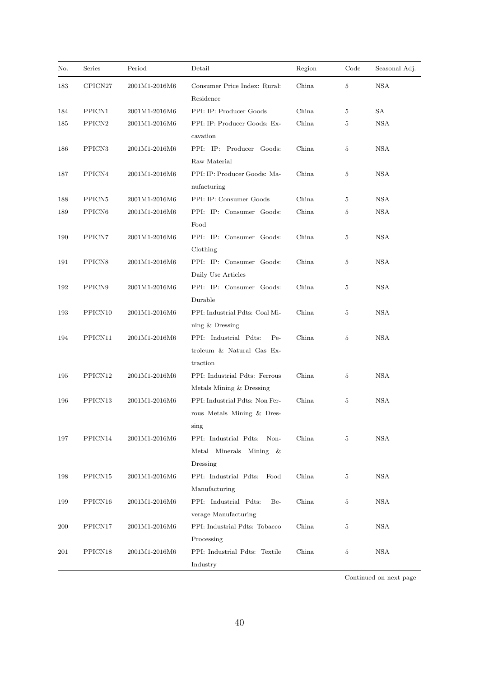| No. | Series             | Period        | Detail                                                                  | Region | Code | Seasonal Adj.     |
|-----|--------------------|---------------|-------------------------------------------------------------------------|--------|------|-------------------|
| 183 | CPICN27            | 2001M1-2016M6 | Consumer Price Index: Rural:<br>Residence                               | China  | 5    | $_{\mathrm{NSA}}$ |
| 184 | PPICN1             | 2001M1-2016M6 | PPI: IP: Producer Goods                                                 | China  | 5    | SА                |
| 185 | ${\rm PPICN2}$     | 2001M1-2016M6 | PPI: IP: Producer Goods: Ex-<br>cavation                                | China  | 5    | <b>NSA</b>        |
| 186 | PPICN <sub>3</sub> | 2001M1-2016M6 | PPI: IP: Producer Goods:<br>Raw Material                                | China  | 5    | NSA               |
| 187 | PPICN4             | 2001M1-2016M6 | PPI: IP: Producer Goods: Ma-<br>nufacturing                             | China  | 5    | NSA               |
| 188 | PPICN <sub>5</sub> | 2001M1-2016M6 | PPI: IP: Consumer Goods                                                 | China  | 5    | <b>NSA</b>        |
| 189 | ${\rm PPICN6}$     | 2001M1-2016M6 | PPI: IP: Consumer Goods:<br>Food                                        | China  | 5    | <b>NSA</b>        |
| 190 | PPICN7             | 2001M1-2016M6 | PPI: IP: Consumer Goods:<br>Clothing                                    | China  | 5    | <b>NSA</b>        |
| 191 | PPICN <sub>8</sub> | 2001M1-2016M6 | PPI: IP: Consumer Goods:<br>Daily Use Articles                          | China  | 5    | NSA               |
| 192 | PPICN9             | 2001M1-2016M6 | PPI: IP: Consumer Goods:<br>Durable                                     | China  | 5    | <b>NSA</b>        |
| 193 | PPICN10            | 2001M1-2016M6 | PPI: Industrial Pdts: Coal Mi-<br>ning $&$ Dressing                     | China  | 5    | <b>NSA</b>        |
| 194 | PPICN11            | 2001M1-2016M6 | PPI: Industrial Pdts:<br>$Pe-$<br>troleum & Natural Gas Ex-<br>traction | China  | 5    | <b>NSA</b>        |
| 195 | PPICN12            | 2001M1-2016M6 | PPI: Industrial Pdts: Ferrous<br>Metals Mining & Dressing               | China  | 5    | NSA               |
| 196 | PPICN13            | 2001M1-2016M6 | PPI: Industrial Pdts: Non Fer-<br>rous Metals Mining & Dres-<br>sing    | China  | 5    | <b>NSA</b>        |
| 197 | PPICN14            | 2001M1-2016M6 | PPI: Industrial Pdts: Non-<br>Metal Minerals Mining &<br>Dressing       | China  | 5    | <b>NSA</b>        |
| 198 | PPICN15            | 2001M1-2016M6 | PPI: Industrial Pdts:<br>Food<br>Manufacturing                          | China  | 5    | NSA               |
| 199 | PPICN16            | 2001M1-2016M6 | PPI: Industrial Pdts:<br>Be-<br>verage Manufacturing                    | China  | 5    | <b>NSA</b>        |
| 200 | PPICN17            | 2001M1-2016M6 | PPI: Industrial Pdts: Tobacco<br>Processing                             | China  | 5    | <b>NSA</b>        |
| 201 | PPICN18            | 2001M1-2016M6 | PPI: Industrial Pdts: Textile<br>Industry                               | China  | 5    | <b>NSA</b>        |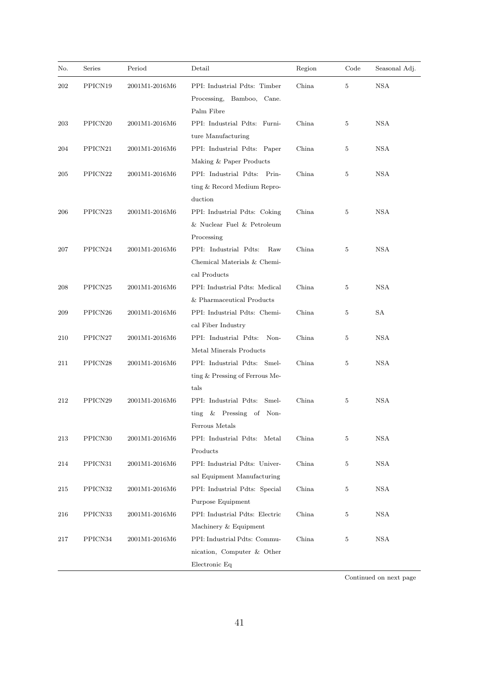| No. | Series              | Period        | Detail                                                                              | Region | Code           | Seasonal Adj. |
|-----|---------------------|---------------|-------------------------------------------------------------------------------------|--------|----------------|---------------|
| 202 | PPICN19             | 2001M1-2016M6 | PPI: Industrial Pdts: Timber<br>Processing, Bamboo, Cane.<br>Palm Fibre             | China  | $\overline{5}$ | <b>NSA</b>    |
| 203 | PPICN <sub>20</sub> | 2001M1-2016M6 | PPI: Industrial Pdts: Furni-<br>ture Manufacturing                                  | China  | 5              | <b>NSA</b>    |
| 204 | PPICN <sub>21</sub> | 2001M1-2016M6 | PPI: Industrial Pdts: Paper<br>Making & Paper Products                              | China  | 5              | NSA           |
| 205 | PPICN <sub>22</sub> | 2001M1-2016M6 | PPI: Industrial Pdts: Prin-<br>ting & Record Medium Repro-<br>duction               | China  | 5              | <b>NSA</b>    |
| 206 | PPICN <sub>23</sub> | 2001M1-2016M6 | PPI: Industrial Pdts: Coking<br>& Nuclear Fuel & Petroleum<br>Processing            | China  | 5              | <b>NSA</b>    |
| 207 | PPICN <sub>24</sub> | 2001M1-2016M6 | PPI: Industrial Pdts:<br>Raw<br>Chemical Materials & Chemi-<br>cal Products         | China  | $5\,$          | <b>NSA</b>    |
| 208 | PPICN <sub>25</sub> | 2001M1-2016M6 | PPI: Industrial Pdts: Medical<br>& Pharmaceutical Products                          | China  | 5              | <b>NSA</b>    |
| 209 | PPICN <sub>26</sub> | 2001M1-2016M6 | PPI: Industrial Pdts: Chemi-<br>cal Fiber Industry                                  | China  | 5              | SА            |
| 210 | PPICN27             | 2001M1-2016M6 | PPI: Industrial Pdts:<br>Non-<br>Metal Minerals Products                            | China  | 5              | NSA           |
| 211 | PPICN <sub>28</sub> | 2001M1-2016M6 | PPI: Industrial Pdts: Smel-<br>ting & Pressing of Ferrous Me-<br>tals               | China  | 5              | <b>NSA</b>    |
| 212 | PPICN29             | 2001M1-2016M6 | PPI: Industrial Pdts: Smel-<br>$&$ Pressing<br>οf<br>Non-<br>ting<br>Ferrous Metals | China  | 5              | NSA           |
| 213 | PPICN30             | 2001M1-2016M6 | PPI: Industrial Pdts: Metal<br>Products                                             | China  | 5              | <b>NSA</b>    |
| 214 | PPICN31             | 2001M1-2016M6 | PPI: Industrial Pdts: Univer-<br>sal Equipment Manufacturing                        | China  | 5              | <b>NSA</b>    |
| 215 | PPICN32             | 2001M1-2016M6 | PPI: Industrial Pdts: Special<br>Purpose Equipment                                  | China  | $\,$ 5 $\,$    | <b>NSA</b>    |
| 216 | PPICN33             | 2001M1-2016M6 | PPI: Industrial Pdts: Electric<br>Machinery & Equipment                             | China  | 5              | NSA           |
| 217 | PPICN34             | 2001M1-2016M6 | PPI: Industrial Pdts: Commu-<br>nication, Computer & Other<br>Electronic Eq         | China  | $5\,$          | <b>NSA</b>    |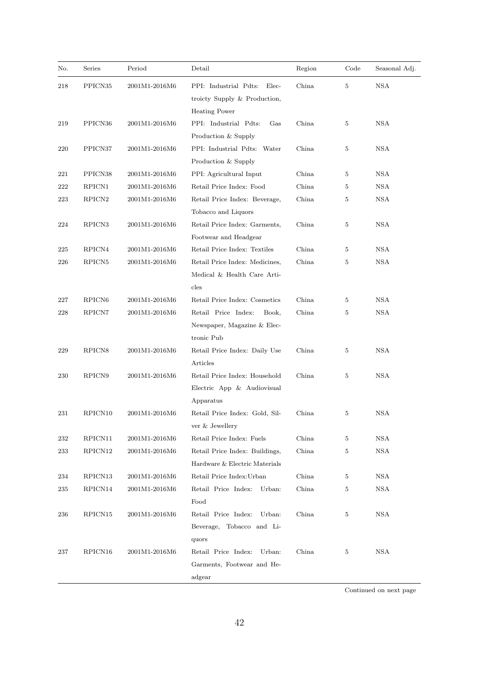| No. | Series              | Period        | Detail                         | Region | Code           | Seasonal Adj.          |
|-----|---------------------|---------------|--------------------------------|--------|----------------|------------------------|
| 218 | PPICN <sub>35</sub> | 2001M1-2016M6 | PPI: Industrial Pdts:<br>Elec- | China  | $\overline{5}$ | $_{\mathrm{NSA}}$      |
|     |                     |               | troicty Supply & Production,   |        |                |                        |
|     |                     |               | <b>Heating Power</b>           |        |                |                        |
| 219 | PPICN36             | 2001M1-2016M6 | PPI: Industrial Pdts:<br>Gas   | China  | 5              | <b>NSA</b>             |
|     |                     |               | Production & Supply            |        |                |                        |
| 220 | PPICN37             | 2001M1-2016M6 | PPI: Industrial Pdts: Water    | China  | 5              | NSA                    |
|     |                     |               | Production & Supply            |        |                |                        |
| 221 | PPICN38             | 2001M1-2016M6 | PPI: Agricultural Input        | China  | 5              | <b>NSA</b>             |
| 222 | RPICN1              | 2001M1-2016M6 | Retail Price Index: Food       | China  | $\overline{5}$ | <b>NSA</b>             |
| 223 | RPICN <sub>2</sub>  | 2001M1-2016M6 | Retail Price Index: Beverage,  | China  | 5              | <b>NSA</b>             |
|     |                     |               | Tobacco and Liquors            |        |                |                        |
| 224 | RPICN <sub>3</sub>  | 2001M1-2016M6 | Retail Price Index: Garments,  | China  | 5              | <b>NSA</b>             |
|     |                     |               | Footwear and Headgear          |        |                |                        |
| 225 | RPICN4              | 2001M1-2016M6 | Retail Price Index: Textiles   | China  | 5              | <b>NSA</b>             |
| 226 | RPICN <sub>5</sub>  | 2001M1-2016M6 | Retail Price Index: Medicines, | China  | 5              | <b>NSA</b>             |
|     |                     |               | Medical & Health Care Arti-    |        |                |                        |
|     |                     |               | cles                           |        |                |                        |
| 227 | RPICN <sub>6</sub>  | 2001M1-2016M6 | Retail Price Index: Cosmetics  | China  | 5              | <b>NSA</b>             |
| 228 | RPICN7              | 2001M1-2016M6 | Retail Price Index:<br>Book,   | China  | $\overline{5}$ | <b>NSA</b>             |
|     |                     |               | Newspaper, Magazine & Elec-    |        |                |                        |
|     |                     |               | tronic Pub                     |        |                |                        |
| 229 | RPICN <sub>8</sub>  | 2001M1-2016M6 | Retail Price Index: Daily Use  | China  | 5              | <b>NSA</b>             |
|     |                     |               | Articles                       |        |                |                        |
| 230 | RPICN9              | 2001M1-2016M6 | Retail Price Index: Household  | China  | 5              | <b>NSA</b>             |
|     |                     |               | Electric App & Audiovisual     |        |                |                        |
|     |                     |               | Apparatus                      |        |                |                        |
| 231 | RPICN10             | 2001M1-2016M6 | Retail Price Index: Gold, Sil- | China  | 5              | <b>NSA</b>             |
|     |                     |               | ver & Jewellery                |        |                |                        |
| 232 | RPICN11             | 2001M1-2016M6 | Retail Price Index: Fuels      | China  | 5              | <b>NSA</b>             |
| 233 | RPICN12             | 2001M1-2016M6 | Retail Price Index: Buildings, | China  | 5              | $_{\mathrm{NSA}}$      |
|     |                     |               | Hardware & Electric Materials  |        |                |                        |
| 234 | RPICN13             | 2001M1-2016M6 | Retail Price Index: Urban      | China  | 5              | <b>NSA</b>             |
| 235 | RPICN14             | 2001M1-2016M6 | Retail Price Index:<br>Urban:  | China  | 5              | <b>NSA</b>             |
|     |                     |               | Food                           |        |                |                        |
| 236 | RPICN15             | 2001M1-2016M6 | Retail Price Index:<br>Urban:  | China  | 5              | <b>NSA</b>             |
|     |                     |               | Beverage,<br>Tobacco and Li-   |        |                |                        |
|     |                     |               | quors                          |        |                |                        |
| 237 | RPICN16             | 2001M1-2016M6 | Retail Price Index:<br>Urban:  | China  | 5              | <b>NSA</b>             |
|     |                     |               | Garments, Footwear and He-     |        |                |                        |
|     |                     |               | adgear                         |        |                |                        |
|     |                     |               |                                |        |                | Continued on next page |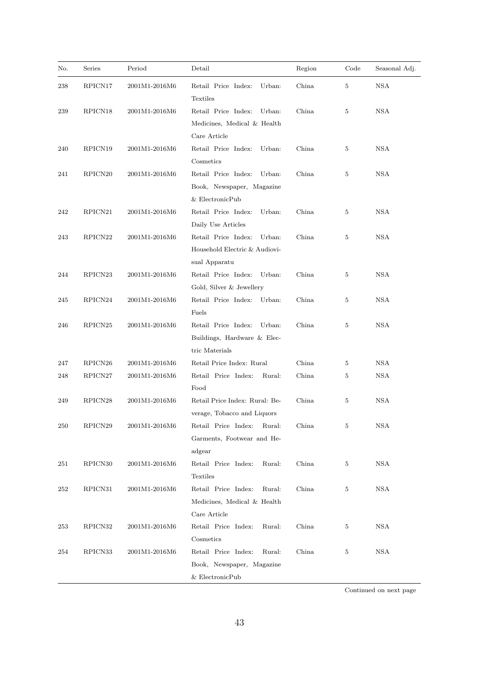| No. | Series              | Period        | Detail                                    | Region | Code | Seasonal Adj. |
|-----|---------------------|---------------|-------------------------------------------|--------|------|---------------|
| 238 | RPICN17             | 2001M1-2016M6 | Retail Price Index:<br>Urban:<br>Textiles | China  | 5    | <b>NSA</b>    |
| 239 | RPICN <sub>18</sub> | 2001M1-2016M6 | Retail Price Index:<br>Urban:             | China  | 5    | NSA           |
|     |                     |               | Medicines, Medical & Health               |        |      |               |
|     |                     |               | Care Article                              |        |      |               |
| 240 | RPICN19             | 2001M1-2016M6 | Retail Price Index:<br>Urban:             | China  | 5    | <b>NSA</b>    |
|     |                     |               | Cosmetics                                 |        |      |               |
| 241 | RPICN <sub>20</sub> | 2001M1-2016M6 | Retail Price Index:<br>Urban:             | China  | 5    | <b>NSA</b>    |
|     |                     |               | Book, Newspaper, Magazine                 |        |      |               |
|     |                     |               | $&$ ElectronicPub                         |        |      |               |
| 242 | RPICN21             | 2001M1-2016M6 | Retail Price Index:<br>Urban:             | China  | 5    | <b>NSA</b>    |
|     |                     |               | Daily Use Articles                        |        |      |               |
| 243 | RPICN22             | 2001M1-2016M6 | Retail Price Index:<br>Urban:             | China  | 5    | <b>NSA</b>    |
|     |                     |               | Household Electric & Audiovi-             |        |      |               |
|     |                     |               | sual Apparatu                             |        |      |               |
| 244 | RPICN23             | 2001M1-2016M6 | Retail Price Index:<br>Urban:             | China  | 5    | <b>NSA</b>    |
|     |                     |               | Gold, Silver & Jewellery                  |        |      |               |
| 245 | RPICN <sub>24</sub> | 2001M1-2016M6 | Retail Price Index:<br>Urban:             | China  | 5    | <b>NSA</b>    |
|     |                     |               | Fuels                                     |        |      |               |
| 246 | RPICN <sub>25</sub> | 2001M1-2016M6 | Retail Price Index:<br>Urban:             | China  | 5    | <b>NSA</b>    |
|     |                     |               | Buildings, Hardware & Elec-               |        |      |               |
|     |                     |               | tric Materials                            |        |      |               |
| 247 | RPICN <sub>26</sub> | 2001M1-2016M6 | Retail Price Index: Rural                 | China  | 5    | NSA           |
| 248 | RPICN27             | 2001M1-2016M6 | Retail Price Index:<br>Rural:             | China  | 5    | <b>NSA</b>    |
|     |                     |               | Food                                      |        |      |               |
| 249 | RPICN28             | 2001M1-2016M6 | Retail Price Index: Rural: Be-            | China  | 5    | <b>NSA</b>    |
|     |                     |               | verage, Tobacco and Liquors               |        |      |               |
| 250 | RPICN29             | 2001M1-2016M6 | Retail Price Index:<br>Rural:             | China  | 5    | NSA           |
|     |                     |               | Garments, Footwear and He-                |        |      |               |
|     |                     |               | adgear                                    |        |      |               |
| 251 | RPICN <sub>30</sub> | 2001M1-2016M6 | Retail Price Index:<br>Rural:             | China  | 5    | <b>NSA</b>    |
|     |                     |               | Textiles                                  |        |      |               |
| 252 | RPICN31             | 2001M1-2016M6 | Retail Price Index:<br>Rural:             | China  | 5    | <b>NSA</b>    |
|     |                     |               | Medicines, Medical & Health               |        |      |               |
|     |                     |               | Care Article                              |        |      |               |
| 253 | RPICN32             | 2001M1-2016M6 | Retail Price Index:<br>Rural:             | China  | 5    | <b>NSA</b>    |
|     |                     |               | $\label{eq:cosmetics} \text{Cosmetics}$   |        |      |               |
| 254 | RPICN33             | 2001M1-2016M6 | Retail Price Index:<br>Rural:             | China  | 5    | NSA           |
|     |                     |               | Book, Newspaper, Magazine                 |        |      |               |
|     |                     |               | & ElectronicPub                           |        |      |               |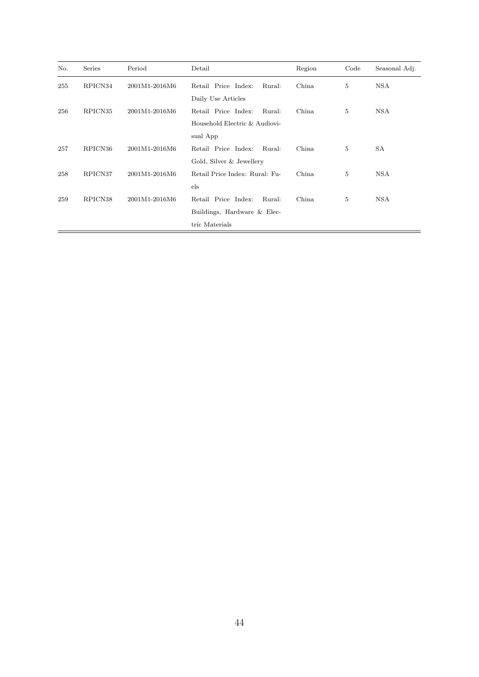| No. | Series  | Period        | Detail                         | Region | Code           | Seasonal Adj. |
|-----|---------|---------------|--------------------------------|--------|----------------|---------------|
| 255 | RPICN34 | 2001M1-2016M6 | Retail Price Index:<br>Rural:  | China  | $\overline{5}$ | <b>NSA</b>    |
|     |         |               | Daily Use Articles             |        |                |               |
| 256 | RPICN35 | 2001M1-2016M6 | Retail Price Index:<br>Rural:  | China  | $\overline{5}$ | <b>NSA</b>    |
|     |         |               | Household Electric & Audiovi-  |        |                |               |
|     |         |               | sual App                       |        |                |               |
| 257 | RPICN36 | 2001M1-2016M6 | Retail Price Index:<br>Rural:  | China  | 5              | SА            |
|     |         |               | Gold, Silver & Jewellery       |        |                |               |
| 258 | RPICN37 | 2001M1-2016M6 | Retail Price Index: Rural: Fu- | China  | 5              | <b>NSA</b>    |
|     |         |               | $_{\rm els}$                   |        |                |               |
| 259 | RPICN38 | 2001M1-2016M6 | Retail Price Index:<br>Rural:  | China  | 5              | <b>NSA</b>    |
|     |         |               | Buildings, Hardware & Elec-    |        |                |               |
|     |         |               | tric Materials                 |        |                |               |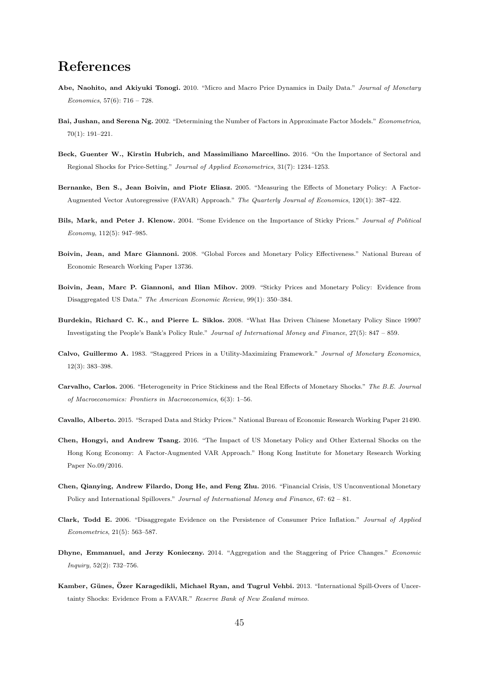## References

- Abe, Naohito, and Akiyuki Tonogi. 2010. "Micro and Macro Price Dynamics in Daily Data." *Journal of Monetary Economics*, 57(6): 716 – 728.
- Bai, Jushan, and Serena Ng. 2002. "Determining the Number of Factors in Approximate Factor Models." *Econometrica*, 70(1): 191–221.
- Beck, Guenter W., Kirstin Hubrich, and Massimiliano Marcellino. 2016. "On the Importance of Sectoral and Regional Shocks for Price-Setting." *Journal of Applied Econometrics*, 31(7): 1234–1253.
- Bernanke, Ben S., Jean Boivin, and Piotr Eliasz. 2005. "Measuring the Effects of Monetary Policy: A Factor-Augmented Vector Autoregressive (FAVAR) Approach." *The Quarterly Journal of Economics*, 120(1): 387–422.
- Bils, Mark, and Peter J. Klenow. 2004. "Some Evidence on the Importance of Sticky Prices." *Journal of Political Economy*, 112(5): 947–985.
- Boivin, Jean, and Marc Giannoni. 2008. "Global Forces and Monetary Policy Effectiveness." National Bureau of Economic Research Working Paper 13736.
- Boivin, Jean, Marc P. Giannoni, and Ilian Mihov. 2009. "Sticky Prices and Monetary Policy: Evidence from Disaggregated US Data." *The American Economic Review*, 99(1): 350–384.
- Burdekin, Richard C. K., and Pierre L. Siklos. 2008. "What Has Driven Chinese Monetary Policy Since 1990? Investigating the People's Bank's Policy Rule." *Journal of International Money and Finance*, 27(5): 847 – 859.
- Calvo, Guillermo A. 1983. "Staggered Prices in a Utility-Maximizing Framework." *Journal of Monetary Economics*, 12(3): 383–398.
- Carvalho, Carlos. 2006. "Heterogeneity in Price Stickiness and the Real Effects of Monetary Shocks." *The B.E. Journal of Macroeconomics: Frontiers in Macroeconomics*, 6(3): 1–56.
- Cavallo, Alberto. 2015. "Scraped Data and Sticky Prices." National Bureau of Economic Research Working Paper 21490.
- Chen, Hongyi, and Andrew Tsang. 2016. "The Impact of US Monetary Policy and Other External Shocks on the Hong Kong Economy: A Factor-Augmented VAR Approach." Hong Kong Institute for Monetary Research Working Paper No.09/2016.
- Chen, Qianying, Andrew Filardo, Dong He, and Feng Zhu. 2016. "Financial Crisis, US Unconventional Monetary Policy and International Spillovers." *Journal of International Money and Finance*, 67: 62 – 81.
- Clark, Todd E. 2006. "Disaggregate Evidence on the Persistence of Consumer Price Inflation." *Journal of Applied Econometrics*, 21(5): 563–587.
- Dhyne, Emmanuel, and Jerzy Konieczny. 2014. "Aggregation and the Staggering of Price Changes." *Economic Inquiry*, 52(2): 732–756.
- Kamber, Günes, Özer Karagedikli, Michael Ryan, and Tugrul Vehbi. 2013. "International Spill-Overs of Uncertainty Shocks: Evidence From a FAVAR." *Reserve Bank of New Zealand mimeo*.